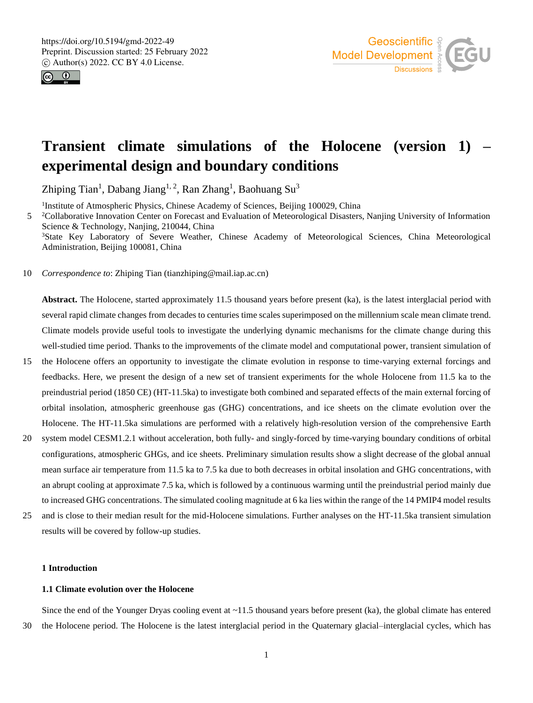



# **Transient climate simulations of the Holocene (version 1) – experimental design and boundary conditions**

Zhiping Tian<sup>1</sup>, Dabang Jiang<sup>1, 2</sup>, Ran Zhang<sup>1</sup>, Baohuang Su<sup>3</sup>

<sup>1</sup>Institute of Atmospheric Physics, Chinese Academy of Sciences, Beijing 100029, China

<sup>2</sup> <sup>2</sup> Collaborative Innovation Center on Forecast and Evaluation of Meteorological Disasters, Nanjing University of Information Science & Technology, Nanjing, 210044, China <sup>3</sup>State Key Laboratory of Severe Weather, Chinese Academy of Meteorological Sciences, China Meteorological

Administration, Beijing 100081, China

10 *Correspondence to*: Zhiping Tian (tianzhiping@mail.iap.ac.cn)

**Abstract.** The Holocene, started approximately 11.5 thousand years before present (ka), is the latest interglacial period with several rapid climate changes from decades to centuries time scales superimposed on the millennium scale mean climate trend. Climate models provide useful tools to investigate the underlying dynamic mechanisms for the climate change during this well-studied time period. Thanks to the improvements of the climate model and computational power, transient simulation of

- 15 the Holocene offers an opportunity to investigate the climate evolution in response to time-varying external forcings and feedbacks. Here, we present the design of a new set of transient experiments for the whole Holocene from 11.5 ka to the preindustrial period (1850 CE) (HT-11.5ka) to investigate both combined and separated effects of the main external forcing of orbital insolation, atmospheric greenhouse gas (GHG) concentrations, and ice sheets on the climate evolution over the Holocene. The HT-11.5ka simulations are performed with a relatively high-resolution version of the comprehensive Earth
- 20 system model CESM1.2.1 without acceleration, both fully- and singly-forced by time-varying boundary conditions of orbital configurations, atmospheric GHGs, and ice sheets. Preliminary simulation results show a slight decrease of the global annual mean surface air temperature from 11.5 ka to 7.5 ka due to both decreases in orbital insolation and GHG concentrations, with an abrupt cooling at approximate 7.5 ka, which is followed by a continuous warming until the preindustrial period mainly due to increased GHG concentrations. The simulated cooling magnitude at 6 ka lies within the range of the 14 PMIP4 model results
- 25 and is close to their median result for the mid-Holocene simulations. Further analyses on the HT-11.5ka transient simulation results will be covered by follow-up studies.

## **1 Introduction**

# **1.1 Climate evolution over the Holocene**

Since the end of the Younger Dryas cooling event at  $\sim$ 11.5 thousand years before present (ka), the global climate has entered 30 the Holocene period. The Holocene is the latest interglacial period in the Quaternary glacial–interglacial cycles, which has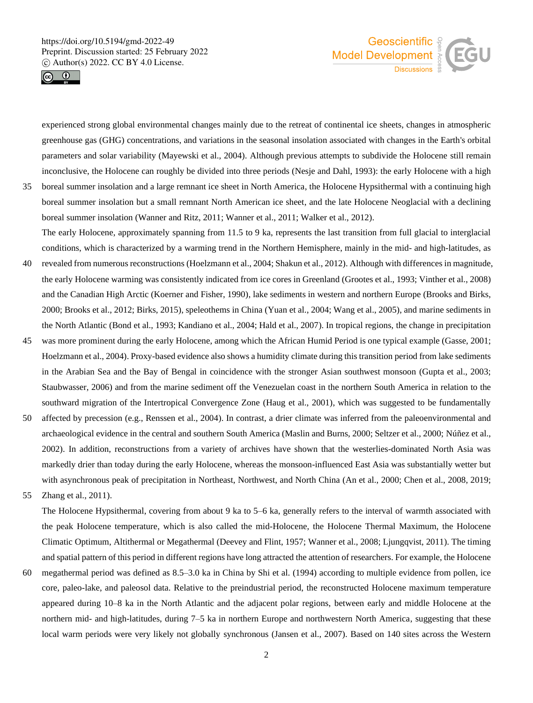



experienced strong global environmental changes mainly due to the retreat of continental ice sheets, changes in atmospheric greenhouse gas (GHG) concentrations, and variations in the seasonal insolation associated with changes in the Earth's orbital parameters and solar variability (Mayewski et al., 2004). Although previous attempts to subdivide the Holocene still remain inconclusive, the Holocene can roughly be divided into three periods (Nesje and Dahl, 1993): the early Holocene with a high

35 boreal summer insolation and a large remnant ice sheet in North America, the Holocene Hypsithermal with a continuing high boreal summer insolation but a small remnant North American ice sheet, and the late Holocene Neoglacial with a declining boreal summer insolation (Wanner and Ritz, 2011; Wanner et al., 2011; Walker et al., 2012). The early Holocene, approximately spanning from 11.5 to 9 ka, represents the last transition from full glacial to interglacial

conditions, which is characterized by a warming trend in the Northern Hemisphere, mainly in the mid- and high-latitudes, as

- 40 revealed from numerous reconstructions (Hoelzmann et al., 2004; Shakun et al., 2012). Although with differences in magnitude, the early Holocene warming was consistently indicated from ice cores in Greenland (Grootes et al., 1993; Vinther et al., 2008) and the Canadian High Arctic (Koerner and Fisher, 1990), lake sediments in western and northern Europe (Brooks and Birks, 2000; Brooks et al., 2012; Birks, 2015), speleothems in China (Yuan et al., 2004; Wang et al., 2005), and marine sediments in the North Atlantic (Bond et al., 1993; Kandiano et al., 2004; Hald et al., 2007). In tropical regions, the change in precipitation
- 45 was more prominent during the early Holocene, among which the African Humid Period is one typical example (Gasse, 2001; Hoelzmann et al., 2004). Proxy-based evidence also shows a humidity climate during this transition period from lake sediments in the Arabian Sea and the Bay of Bengal in coincidence with the stronger Asian southwest monsoon (Gupta et al., 2003; Staubwasser, 2006) and from the marine sediment off the Venezuelan coast in the northern South America in relation to the southward migration of the Intertropical Convergence Zone (Haug et al., 2001), which was suggested to be fundamentally
- 50 affected by precession (e.g., Renssen et al., 2004). In contrast, a drier climate was inferred from the paleoenvironmental and archaeological evidence in the central and southern South America (Maslin and Burns, 2000; Seltzer et al., 2000; Núñez et al., 2002). In addition, reconstructions from a variety of archives have shown that the westerlies-dominated North Asia was markedly drier than today during the early Holocene, whereas the monsoon-influenced East Asia was substantially wetter but with asynchronous peak of precipitation in Northeast, Northwest, and North China (An et al., 2000; Chen et al., 2008, 2019;

55 Zhang et al., 2011).

The Holocene Hypsithermal, covering from about 9 ka to 5–6 ka, generally refers to the interval of warmth associated with the peak Holocene temperature, which is also called the mid-Holocene, the Holocene Thermal Maximum, the Holocene Climatic Optimum, Altithermal or Megathermal (Deevey and Flint, 1957; Wanner et al., 2008; Ljungqvist, 2011). The timing and spatial pattern of this period in different regions have long attracted the attention of researchers. For example, the Holocene

60 megathermal period was defined as 8.5–3.0 ka in China by Shi et al. (1994) according to multiple evidence from pollen, ice core, paleo-lake, and paleosol data. Relative to the preindustrial period, the reconstructed Holocene maximum temperature appeared during 10–8 ka in the North Atlantic and the adjacent polar regions, between early and middle Holocene at the northern mid- and high-latitudes, during 7–5 ka in northern Europe and northwestern North America, suggesting that these local warm periods were very likely not globally synchronous (Jansen et al., 2007). Based on 140 sites across the Western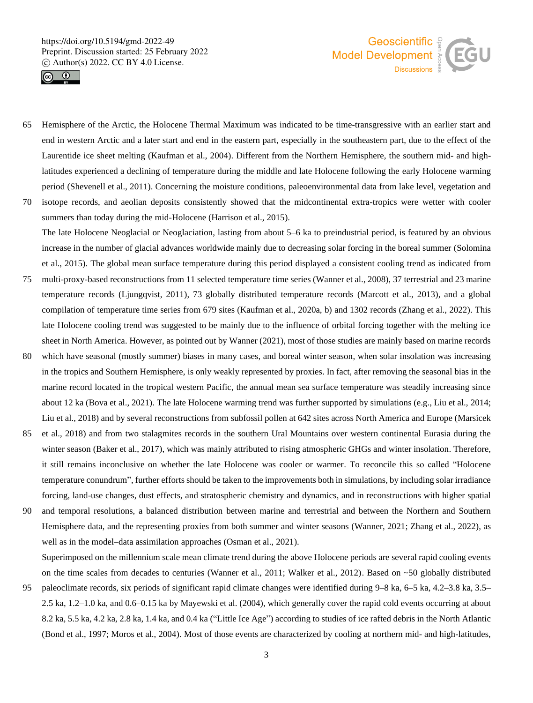



- 65 Hemisphere of the Arctic, the Holocene Thermal Maximum was indicated to be time-transgressive with an earlier start and end in western Arctic and a later start and end in the eastern part, especially in the southeastern part, due to the effect of the Laurentide ice sheet melting (Kaufman et al., 2004). Different from the Northern Hemisphere, the southern mid- and highlatitudes experienced a declining of temperature during the middle and late Holocene following the early Holocene warming period (Shevenell et al., 2011). Concerning the moisture conditions, paleoenvironmental data from lake level, vegetation and 70 isotope records, and aeolian deposits consistently showed that the midcontinental extra-tropics were wetter with cooler
- summers than today during the mid-Holocene (Harrison et al., 2015). The late Holocene Neoglacial or Neoglaciation, lasting from about 5–6 ka to preindustrial period, is featured by an obvious increase in the number of glacial advances worldwide mainly due to decreasing solar forcing in the boreal summer (Solomina et al., 2015). The global mean surface temperature during this period displayed a consistent cooling trend as indicated from
- 75 multi-proxy-based reconstructions from 11 selected temperature time series (Wanner et al., 2008), 37 terrestrial and 23 marine temperature records (Ljungqvist, 2011), 73 globally distributed temperature records (Marcott et al., 2013), and a global compilation of temperature time series from 679 sites (Kaufman et al., 2020a, b) and 1302 records (Zhang et al., 2022). This late Holocene cooling trend was suggested to be mainly due to the influence of orbital forcing together with the melting ice sheet in North America. However, as pointed out by Wanner (2021), most of those studies are mainly based on marine records
- 80 which have seasonal (mostly summer) biases in many cases, and boreal winter season, when solar insolation was increasing in the tropics and Southern Hemisphere, is only weakly represented by proxies. In fact, after removing the seasonal bias in the marine record located in the tropical western Pacific, the annual mean sea surface temperature was steadily increasing since about 12 ka (Bova et al., 2021). The late Holocene warming trend was further supported by simulations (e.g., Liu et al., 2014; Liu et al., 2018) and by several reconstructions from subfossil pollen at 642 sites across North America and Europe (Marsicek
- 85 et al., 2018) and from two stalagmites records in the southern Ural Mountains over western continental Eurasia during the winter season (Baker et al., 2017), which was mainly attributed to rising atmospheric GHGs and winter insolation. Therefore, it still remains inconclusive on whether the late Holocene was cooler or warmer. To reconcile this so called "Holocene temperature conundrum", further efforts should be taken to the improvements both in simulations, by including solar irradiance forcing, land-use changes, dust effects, and stratospheric chemistry and dynamics, and in reconstructions with higher spatial
- 90 and temporal resolutions, a balanced distribution between marine and terrestrial and between the Northern and Southern Hemisphere data, and the representing proxies from both summer and winter seasons (Wanner, 2021; Zhang et al., 2022), as well as in the model–data assimilation approaches (Osman et al., 2021).

Superimposed on the millennium scale mean climate trend during the above Holocene periods are several rapid cooling events on the time scales from decades to centuries (Wanner et al., 2011; Walker et al., 2012). Based on ~50 globally distributed

95 paleoclimate records, six periods of significant rapid climate changes were identified during 9–8 ka, 6–5 ka, 4.2–3.8 ka, 3.5– 2.5 ka, 1.2–1.0 ka, and 0.6–0.15 ka by Mayewski et al. (2004), which generally cover the rapid cold events occurring at about 8.2 ka, 5.5 ka, 4.2 ka, 2.8 ka, 1.4 ka, and 0.4 ka ("Little Ice Age") according to studies of ice rafted debris in the North Atlantic (Bond et al., 1997; Moros et al., 2004). Most of those events are characterized by cooling at northern mid- and high-latitudes,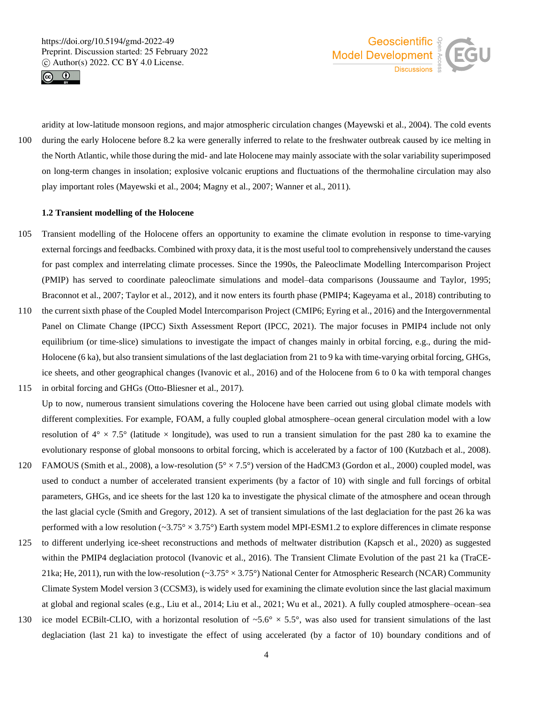



aridity at low-latitude monsoon regions, and major atmospheric circulation changes (Mayewski et al., 2004). The cold events 100 during the early Holocene before 8.2 ka were generally inferred to relate to the freshwater outbreak caused by ice melting in the North Atlantic, while those during the mid- and late Holocene may mainly associate with the solar variability superimposed on long-term changes in insolation; explosive volcanic eruptions and fluctuations of the thermohaline circulation may also play important roles (Mayewski et al., 2004; Magny et al., 2007; Wanner et al., 2011).

## **1.2 Transient modelling of the Holocene**

- 105 Transient modelling of the Holocene offers an opportunity to examine the climate evolution in response to time-varying external forcings and feedbacks. Combined with proxy data, it is the most useful tool to comprehensively understand the causes for past complex and interrelating climate processes. Since the 1990s, the Paleoclimate Modelling Intercomparison Project (PMIP) has served to coordinate paleoclimate simulations and model–data comparisons (Joussaume and Taylor, 1995; Braconnot et al., 2007; Taylor et al., 2012), and it now enters its fourth phase (PMIP4; Kageyama et al., 2018) contributing to
- 110 the current sixth phase of the Coupled Model Intercomparison Project (CMIP6; Eyring et al., 2016) and the Intergovernmental Panel on Climate Change (IPCC) Sixth Assessment Report (IPCC, 2021). The major focuses in PMIP4 include not only equilibrium (or time-slice) simulations to investigate the impact of changes mainly in orbital forcing, e.g., during the mid-Holocene (6 ka), but also transient simulations of the last deglaciation from 21 to 9 ka with time-varying orbital forcing, GHGs, ice sheets, and other geographical changes (Ivanovic et al., 2016) and of the Holocene from 6 to 0 ka with temporal changes 115 in orbital forcing and GHGs (Otto-Bliesner et al., 2017).

Up to now, numerous transient simulations covering the Holocene have been carried out using global climate models with different complexities. For example, FOAM, a fully coupled global atmosphere–ocean general circulation model with a low resolution of  $4^{\circ} \times 7.5^{\circ}$  (latitude  $\times$  longitude), was used to run a transient simulation for the past 280 ka to examine the evolutionary response of global monsoons to orbital forcing, which is accelerated by a factor of 100 (Kutzbach et al., 2008).

- 120 FAMOUS (Smith et al., 2008), a low-resolution ( $5^\circ \times 7.5^\circ$ ) version of the HadCM3 (Gordon et al., 2000) coupled model, was used to conduct a number of accelerated transient experiments (by a factor of 10) with single and full forcings of orbital parameters, GHGs, and ice sheets for the last 120 ka to investigate the physical climate of the atmosphere and ocean through the last glacial cycle (Smith and Gregory, 2012). A set of transient simulations of the last deglaciation for the past 26 ka was performed with a low resolution ( $\sim$ 3.75 $\degree$  × 3.75 $\degree$ ) Earth system model MPI-ESM1.2 to explore differences in climate response
- 125 to different underlying ice-sheet reconstructions and methods of meltwater distribution (Kapsch et al., 2020) as suggested within the PMIP4 deglaciation protocol (Ivanovic et al., 2016). The Transient Climate Evolution of the past 21 ka (TraCE-21ka; He, 2011), run with the low-resolution ( $\sim 3.75^{\circ} \times 3.75^{\circ}$ ) National Center for Atmospheric Research (NCAR) Community Climate System Model version 3 (CCSM3), is widely used for examining the climate evolution since the last glacial maximum at global and regional scales (e.g., Liu et al., 2014; Liu et al., 2021; Wu et al., 2021). A fully coupled atmosphere–ocean–sea
- 130 ice model ECBilt-CLIO, with a horizontal resolution of  $\sim$  5.6°  $\times$  5.5°, was also used for transient simulations of the last deglaciation (last 21 ka) to investigate the effect of using accelerated (by a factor of 10) boundary conditions and of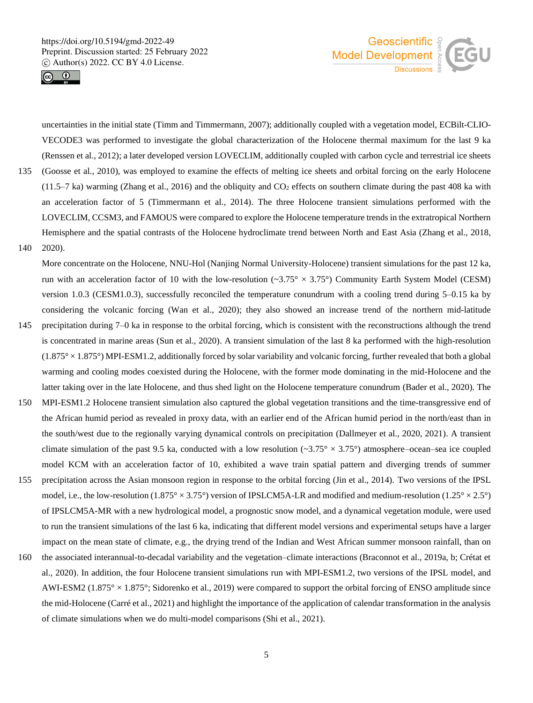



uncertainties in the initial state (Timm and Timmermann, 2007); additionally coupled with a vegetation model, ECBilt-CLIO-VECODE3 was performed to investigate the global characterization of the Holocene thermal maximum for the last 9 ka (Renssen et al., 2012); a later developed version LOVECLIM, additionally coupled with carbon cycle and terrestrial ice sheets

- 135 (Goosse et al., 2010), was employed to examine the effects of melting ice sheets and orbital forcing on the early Holocene (11.5–7 ka) warming (Zhang et al., 2016) and the obliquity and  $CO<sub>2</sub>$  effects on southern climate during the past 408 ka with an acceleration factor of 5 (Timmermann et al., 2014). The three Holocene transient simulations performed with the LOVECLIM, CCSM3, and FAMOUS were compared to explore the Holocene temperature trends in the extratropical Northern Hemisphere and the spatial contrasts of the Holocene hydroclimate trend between North and East Asia (Zhang et al., 2018,
- 140 2020).

More concentrate on the Holocene, NNU-Hol (Nanjing Normal University-Holocene) transient simulations for the past 12 ka, run with an acceleration factor of 10 with the low-resolution ( $\sim 3.75^\circ \times 3.75^\circ$ ) Community Earth System Model (CESM) version 1.0.3 (CESM1.0.3), successfully reconciled the temperature conundrum with a cooling trend during 5–0.15 ka by considering the volcanic forcing (Wan et al., 2020); they also showed an increase trend of the northern mid-latitude

- 145 precipitation during 7–0 ka in response to the orbital forcing, which is consistent with the reconstructions although the trend is concentrated in marine areas (Sun et al., 2020). A transient simulation of the last 8 ka performed with the high-resolution  $(1.875^\circ \times 1.875^\circ)$  MPI-ESM1.2, additionally forced by solar variability and volcanic forcing, further revealed that both a global warming and cooling modes coexisted during the Holocene, with the former mode dominating in the mid-Holocene and the latter taking over in the late Holocene, and thus shed light on the Holocene temperature conundrum (Bader et al., 2020). The
- 150 MPI-ESM1.2 Holocene transient simulation also captured the global vegetation transitions and the time-transgressive end of the African humid period as revealed in proxy data, with an earlier end of the African humid period in the north/east than in the south/west due to the regionally varying dynamical controls on precipitation (Dallmeyer et al., 2020, 2021). A transient climate simulation of the past 9.5 ka, conducted with a low resolution  $(\sim 3.75^{\circ} \times 3.75^{\circ})$  atmosphere–ocean–sea ice coupled model KCM with an acceleration factor of 10, exhibited a wave train spatial pattern and diverging trends of summer
- 155 precipitation across the Asian monsoon region in response to the orbital forcing (Jin et al., 2014). Two versions of the IPSL model, i.e., the low-resolution (1.875° × 3.75°) version of IPSLCM5A-LR and modified and medium-resolution (1.25° × 2.5°) of IPSLCM5A-MR with a new hydrological model, a prognostic snow model, and a dynamical vegetation module, were used to run the transient simulations of the last 6 ka, indicating that different model versions and experimental setups have a larger impact on the mean state of climate, e.g., the drying trend of the Indian and West African summer monsoon rainfall, than on
- 160 the associated interannual-to-decadal variability and the vegetation–climate interactions (Braconnot et al., 2019a, b; Crétat et al., 2020). In addition, the four Holocene transient simulations run with MPI-ESM1.2, two versions of the IPSL model, and AWI-ESM2 (1.875° × 1.875°; Sidorenko et al., 2019) were compared to support the orbital forcing of ENSO amplitude since the mid-Holocene (Carré et al., 2021) and highlight the importance of the application of calendar transformation in the analysis of climate simulations when we do multi-model comparisons (Shi et al., 2021).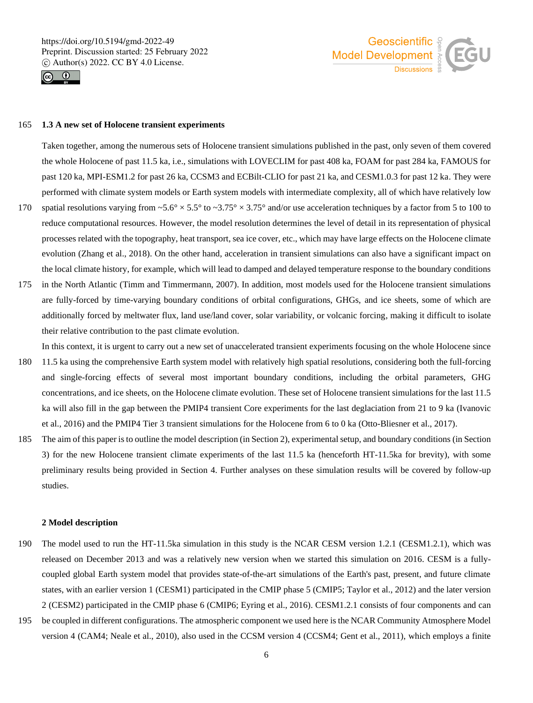



#### 165 **1.3 A new set of Holocene transient experiments**

Taken together, among the numerous sets of Holocene transient simulations published in the past, only seven of them covered the whole Holocene of past 11.5 ka, i.e., simulations with LOVECLIM for past 408 ka, FOAM for past 284 ka, FAMOUS for past 120 ka, MPI-ESM1.2 for past 26 ka, CCSM3 and ECBilt-CLIO for past 21 ka, and CESM1.0.3 for past 12 ka. They were performed with climate system models or Earth system models with intermediate complexity, all of which have relatively low

- 170 spatial resolutions varying from  $\sim 5.6^\circ \times 5.5^\circ$  to  $\sim 3.75^\circ \times 3.75^\circ$  and/or use acceleration techniques by a factor from 5 to 100 to reduce computational resources. However, the model resolution determines the level of detail in its representation of physical processes related with the topography, heat transport, sea ice cover, etc., which may have large effects on the Holocene climate evolution (Zhang et al., 2018). On the other hand, acceleration in transient simulations can also have a significant impact on the local climate history, for example, which will lead to damped and delayed temperature response to the boundary conditions
- 175 in the North Atlantic (Timm and Timmermann, 2007). In addition, most models used for the Holocene transient simulations are fully-forced by time-varying boundary conditions of orbital configurations, GHGs, and ice sheets, some of which are additionally forced by meltwater flux, land use/land cover, solar variability, or volcanic forcing, making it difficult to isolate their relative contribution to the past climate evolution.

In this context, it is urgent to carry out a new set of unaccelerated transient experiments focusing on the whole Holocene since

- 180 11.5 ka using the comprehensive Earth system model with relatively high spatial resolutions, considering both the full-forcing and single-forcing effects of several most important boundary conditions, including the orbital parameters, GHG concentrations, and ice sheets, on the Holocene climate evolution. These set of Holocene transient simulations for the last 11.5 ka will also fill in the gap between the PMIP4 transient Core experiments for the last deglaciation from 21 to 9 ka (Ivanovic et al., 2016) and the PMIP4 Tier 3 transient simulations for the Holocene from 6 to 0 ka (Otto-Bliesner et al., 2017).
- 185 The aim of this paper is to outline the model description (in Section 2), experimental setup, and boundary conditions (in Section 3) for the new Holocene transient climate experiments of the last 11.5 ka (henceforth HT-11.5ka for brevity), with some preliminary results being provided in Section 4. Further analyses on these simulation results will be covered by follow-up studies.

## **2 Model description**

- 190 The model used to run the HT-11.5ka simulation in this study is the NCAR CESM version 1.2.1 (CESM1.2.1), which was released on December 2013 and was a relatively new version when we started this simulation on 2016. CESM is a fullycoupled global Earth system model that provides state-of-the-art simulations of the Earth's past, present, and future climate states, with an earlier version 1 (CESM1) participated in the CMIP phase 5 (CMIP5; Taylor et al., 2012) and the later version 2 (CESM2) participated in the CMIP phase 6 (CMIP6; Eyring et al., 2016). CESM1.2.1 consists of four components and can
- 195 be coupled in different configurations. The atmospheric component we used here is the NCAR Community Atmosphere Model version 4 (CAM4; Neale et al., 2010), also used in the CCSM version 4 (CCSM4; Gent et al., 2011), which employs a finite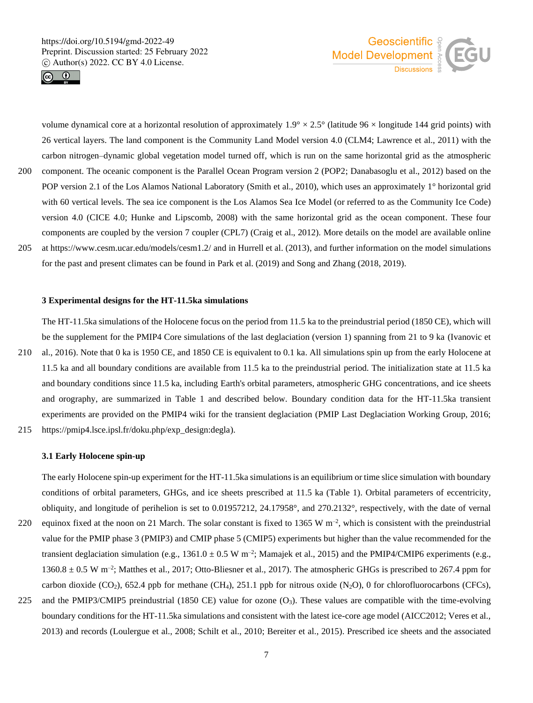



volume dynamical core at a horizontal resolution of approximately  $1.9^{\circ} \times 2.5^{\circ}$  (latitude 96  $\times$  longitude 144 grid points) with 26 vertical layers. The land component is the Community Land Model version 4.0 (CLM4; Lawrence et al., 2011) with the carbon nitrogen–dynamic global vegetation model turned off, which is run on the same horizontal grid as the atmospheric 200 component. The oceanic component is the Parallel Ocean Program version 2 (POP2; Danabasoglu et al., 2012) based on the POP version 2.1 of the Los Alamos National Laboratory (Smith et al., 2010), which uses an approximately 1° horizontal grid with 60 vertical levels. The sea ice component is the Los Alamos Sea Ice Model (or referred to as the Community Ice Code) version 4.0 (CICE 4.0; Hunke and Lipscomb, 2008) with the same horizontal grid as the ocean component. These four components are coupled by the version 7 coupler (CPL7) (Craig et al., 2012). More details on the model are available online 205 at https://www.cesm.ucar.edu/models/cesm1.2/ and in Hurrell et al. (2013), and further information on the model simulations for the past and present climates can be found in Park et al. (2019) and Song and Zhang (2018, 2019).

## **3 Experimental designs for the HT-11.5ka simulations**

The HT-11.5ka simulations of the Holocene focus on the period from 11.5 ka to the preindustrial period (1850 CE), which will be the supplement for the PMIP4 Core simulations of the last deglaciation (version 1) spanning from 21 to 9 ka (Ivanovic et 210 al., 2016). Note that 0 ka is 1950 CE, and 1850 CE is equivalent to 0.1 ka. All simulations spin up from the early Holocene at 11.5 ka and all boundary conditions are available from 11.5 ka to the preindustrial period. The initialization state at 11.5 ka and boundary conditions since 11.5 ka, including Earth's orbital parameters, atmospheric GHG concentrations, and ice sheets and orography, are summarized in Table 1 and described below. Boundary condition data for the HT-11.5ka transient experiments are provided on the PMIP4 wiki for the transient deglaciation (PMIP Last Deglaciation Working Group, 2016; 215 https://pmip4.lsce.ipsl.fr/doku.php/exp\_design:degla).

# **3.1 Early Holocene spin-up**

The early Holocene spin-up experiment for the HT-11.5ka simulations is an equilibrium or time slice simulation with boundary conditions of orbital parameters, GHGs, and ice sheets prescribed at 11.5 ka (Table 1). Orbital parameters of eccentricity, obliquity, and longitude of perihelion is set to 0.01957212, 24.17958°, and 270.2132°, respectively, with the date of vernal 220 equinox fixed at the noon on 21 March. The solar constant is fixed to 1365 W  $m^{-2}$ , which is consistent with the preindustrial value for the PMIP phase 3 (PMIP3) and CMIP phase 5 (CMIP5) experiments but higher than the value recommended for the transient deglaciation simulation (e.g.,  $1361.0 \pm 0.5$  W m<sup>-2</sup>; Mamajek et al., 2015) and the PMIP4/CMIP6 experiments (e.g.,  $1360.8 \pm 0.5$  W m<sup>-2</sup>; Matthes et al., 2017; Otto-Bliesner et al., 2017). The atmospheric GHGs is prescribed to 267.4 ppm for

carbon dioxide (CO<sub>2</sub>), 652.4 ppb for methane (CH<sub>4</sub>), 251.1 ppb for nitrous oxide (N<sub>2</sub>O), 0 for chlorofluorocarbons (CFCs), 225 and the PMIP3/CMIP5 preindustrial (1850 CE) value for ozone (O3). These values are compatible with the time-evolving boundary conditions for the HT-11.5ka simulations and consistent with the latest ice-core age model (AICC2012; Veres et al., 2013) and records (Loulergue et al., 2008; Schilt et al., 2010; Bereiter et al., 2015). Prescribed ice sheets and the associated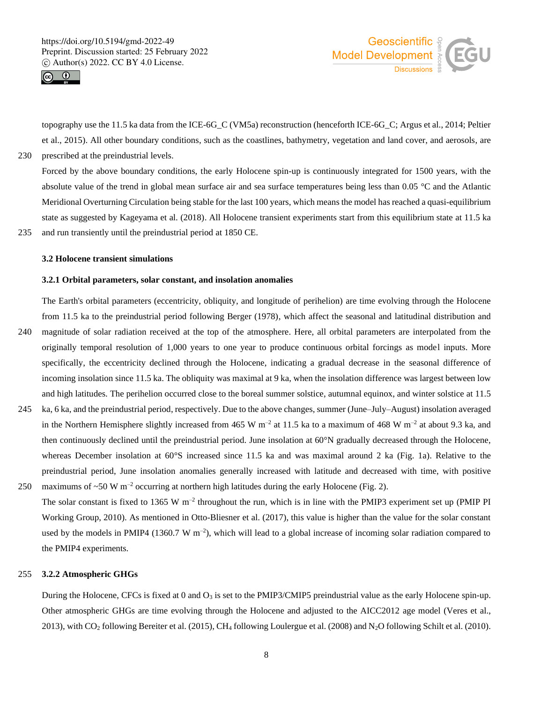



topography use the 11.5 ka data from the ICE-6G\_C (VM5a) reconstruction (henceforth ICE-6G\_C; Argus et al., 2014; Peltier et al., 2015). All other boundary conditions, such as the coastlines, bathymetry, vegetation and land cover, and aerosols, are 230 prescribed at the preindustrial levels.

Forced by the above boundary conditions, the early Holocene spin-up is continuously integrated for 1500 years, with the absolute value of the trend in global mean surface air and sea surface temperatures being less than 0.05 °C and the Atlantic Meridional Overturning Circulation being stable for the last 100 years, which means the model has reached a quasi-equilibrium state as suggested by Kageyama et al. (2018). All Holocene transient experiments start from this equilibrium state at 11.5 ka 235 and run transiently until the preindustrial period at 1850 CE.

#### **3.2 Holocene transient simulations**

# **3.2.1 Orbital parameters, solar constant, and insolation anomalies**

The Earth's orbital parameters (eccentricity, obliquity, and longitude of perihelion) are time evolving through the Holocene from 11.5 ka to the preindustrial period following Berger (1978), which affect the seasonal and latitudinal distribution and 240 magnitude of solar radiation received at the top of the atmosphere. Here, all orbital parameters are interpolated from the originally temporal resolution of 1,000 years to one year to produce continuous orbital forcings as model inputs. More specifically, the eccentricity declined through the Holocene, indicating a gradual decrease in the seasonal difference of incoming insolation since 11.5 ka. The obliquity was maximal at 9 ka, when the insolation difference was largest between low

- and high latitudes. The perihelion occurred close to the boreal summer solstice, autumnal equinox, and winter solstice at 11.5 245 ka, 6 ka, and the preindustrial period, respectively. Due to the above changes, summer (June–July–August) insolation averaged in the Northern Hemisphere slightly increased from 465 W  $m^{-2}$  at 11.5 ka to a maximum of 468 W  $m^{-2}$  at about 9.3 ka, and then continuously declined until the preindustrial period. June insolation at 60°N gradually decreased through the Holocene, whereas December insolation at 60°S increased since 11.5 ka and was maximal around 2 ka (Fig. 1a). Relative to the preindustrial period, June insolation anomalies generally increased with latitude and decreased with time, with positive 250 maximums of  $\sim$  50 W m<sup>-2</sup> occurring at northern high latitudes during the early Holocene (Fig. 2).
- The solar constant is fixed to 1365 W  $m^{-2}$  throughout the run, which is in line with the PMIP3 experiment set up (PMIP PI) Working Group, 2010). As mentioned in Otto-Bliesner et al. (2017), this value is higher than the value for the solar constant used by the models in PMIP4 (1360.7 W  $m^{-2}$ ), which will lead to a global increase of incoming solar radiation compared to the PMIP4 experiments.

# 255 **3.2.2 Atmospheric GHGs**

During the Holocene, CFCs is fixed at 0 and  $O_3$  is set to the PMIP3/CMIP5 preindustrial value as the early Holocene spin-up. Other atmospheric GHGs are time evolving through the Holocene and adjusted to the AICC2012 age model (Veres et al., 2013), with CO<sup>2</sup> following Bereiter et al. (2015), CH<sup>4</sup> following Loulergue et al. (2008) and N2O following Schilt et al. (2010).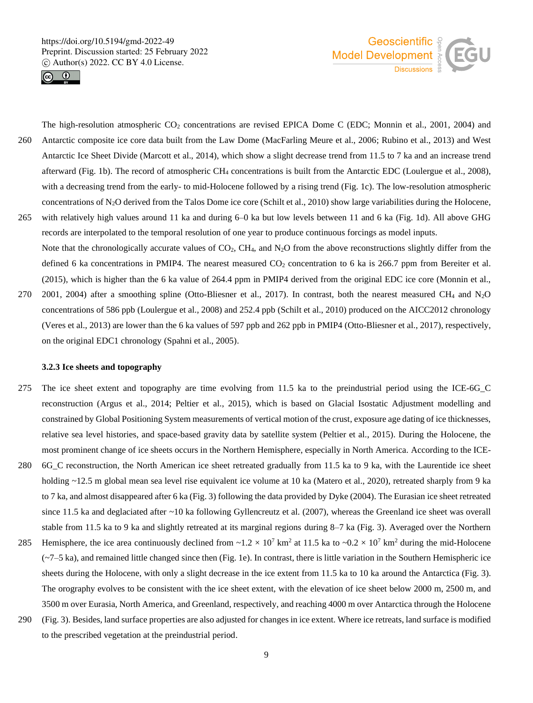



The high-resolution atmospheric  $CO_2$  concentrations are revised EPICA Dome C (EDC; Monnin et al., 2001, 2004) and 260 Antarctic composite ice core data built from the Law Dome (MacFarling Meure et al., 2006; Rubino et al., 2013) and West Antarctic Ice Sheet Divide (Marcott et al., 2014), which show a slight decrease trend from 11.5 to 7 ka and an increase trend afterward (Fig. 1b). The record of atmospheric CH<sup>4</sup> concentrations is built from the Antarctic EDC (Loulergue et al., 2008), with a decreasing trend from the early- to mid-Holocene followed by a rising trend (Fig. 1c). The low-resolution atmospheric concentrations of N2O derived from the Talos Dome ice core (Schilt et al., 2010) show large variabilities during the Holocene, 265 with relatively high values around 11 ka and during 6–0 ka but low levels between 11 and 6 ka (Fig. 1d). All above GHG

- records are interpolated to the temporal resolution of one year to produce continuous forcings as model inputs. Note that the chronologically accurate values of  $CO<sub>2</sub>$ ,  $CH<sub>4</sub>$ , and N<sub>2</sub>O from the above reconstructions slightly differ from the defined 6 ka concentrations in PMIP4. The nearest measured  $CO<sub>2</sub>$  concentration to 6 ka is 266.7 ppm from Bereiter et al. (2015), which is higher than the 6 ka value of 264.4 ppm in PMIP4 derived from the original EDC ice core (Monnin et al.,
- 270 2001, 2004) after a smoothing spline (Otto-Bliesner et al., 2017). In contrast, both the nearest measured CH<sub>4</sub> and N<sub>2</sub>O concentrations of 586 ppb (Loulergue et al., 2008) and 252.4 ppb (Schilt et al., 2010) produced on the AICC2012 chronology (Veres et al., 2013) are lower than the 6 ka values of 597 ppb and 262 ppb in PMIP4 (Otto-Bliesner et al., 2017), respectively, on the original EDC1 chronology (Spahni et al., 2005).

## **3.2.3 Ice sheets and topography**

- 275 The ice sheet extent and topography are time evolving from 11.5 ka to the preindustrial period using the ICE-6G\_C reconstruction (Argus et al., 2014; Peltier et al., 2015), which is based on Glacial Isostatic Adjustment modelling and constrained by Global Positioning System measurements of vertical motion of the crust, exposure age dating of ice thicknesses, relative sea level histories, and space-based gravity data by satellite system (Peltier et al., 2015). During the Holocene, the most prominent change of ice sheets occurs in the Northern Hemisphere, especially in North America. According to the ICE-
- 280 6G\_C reconstruction, the North American ice sheet retreated gradually from 11.5 ka to 9 ka, with the Laurentide ice sheet holding ~12.5 m global mean sea level rise equivalent ice volume at 10 ka (Matero et al., 2020), retreated sharply from 9 ka to 7 ka, and almost disappeared after 6 ka (Fig. 3) following the data provided by Dyke (2004). The Eurasian ice sheet retreated since 11.5 ka and deglaciated after ~10 ka following Gyllencreutz et al. (2007), whereas the Greenland ice sheet was overall stable from 11.5 ka to 9 ka and slightly retreated at its marginal regions during 8–7 ka (Fig. 3). Averaged over the Northern
- 285 Hemisphere, the ice area continuously declined from  $\sim 1.2 \times 10^7$  km<sup>2</sup> at 11.5 ka to  $\sim 0.2 \times 10^7$  km<sup>2</sup> during the mid-Holocene  $(\sim 7-5 \text{ ka})$ , and remained little changed since then (Fig. 1e). In contrast, there is little variation in the Southern Hemispheric ice sheets during the Holocene, with only a slight decrease in the ice extent from 11.5 ka to 10 ka around the Antarctica (Fig. 3). The orography evolves to be consistent with the ice sheet extent, with the elevation of ice sheet below 2000 m, 2500 m, and 3500 m over Eurasia, North America, and Greenland, respectively, and reaching 4000 m over Antarctica through the Holocene
- 290 (Fig. 3). Besides, land surface properties are also adjusted for changes in ice extent. Where ice retreats, land surface is modified to the prescribed vegetation at the preindustrial period.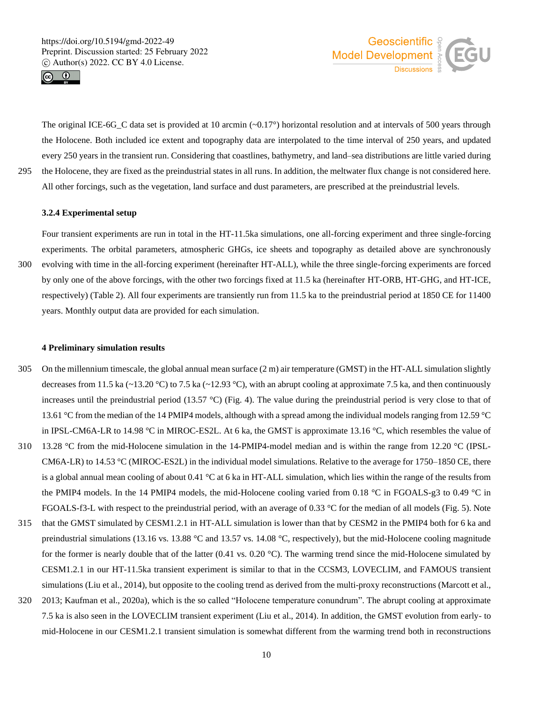



The original ICE-6G C data set is provided at 10 arcmin  $(-0.17^{\circ})$  horizontal resolution and at intervals of 500 years through the Holocene. Both included ice extent and topography data are interpolated to the time interval of 250 years, and updated every 250 years in the transient run. Considering that coastlines, bathymetry, and land–sea distributions are little varied during 295 the Holocene, they are fixed as the preindustrial states in all runs. In addition, the meltwater flux change is not considered here. All other forcings, such as the vegetation, land surface and dust parameters, are prescribed at the preindustrial levels.

## **3.2.4 Experimental setup**

Four transient experiments are run in total in the HT-11.5ka simulations, one all-forcing experiment and three single-forcing experiments. The orbital parameters, atmospheric GHGs, ice sheets and topography as detailed above are synchronously 300 evolving with time in the all-forcing experiment (hereinafter HT-ALL), while the three single-forcing experiments are forced by only one of the above forcings, with the other two forcings fixed at 11.5 ka (hereinafter HT-ORB, HT-GHG, and HT-ICE, respectively) (Table 2). All four experiments are transiently run from 11.5 ka to the preindustrial period at 1850 CE for 11400 years. Monthly output data are provided for each simulation.

#### **4 Preliminary simulation results**

- 305 On the millennium timescale, the global annual mean surface (2 m) air temperature (GMST) in the HT-ALL simulation slightly decreases from 11.5 ka ( $\sim$ 13.20 °C) to 7.5 ka ( $\sim$ 12.93 °C), with an abrupt cooling at approximate 7.5 ka, and then continuously increases until the preindustrial period (13.57  $\degree$ C) (Fig. 4). The value during the preindustrial period is very close to that of 13.61 °C from the median of the 14 PMIP4 models, although with a spread among the individual models ranging from 12.59 °C in IPSL-CM6A-LR to 14.98 °C in MIROC-ES2L. At 6 ka, the GMST is approximate 13.16 °C, which resembles the value of 310 13.28 °C from the mid-Holocene simulation in the 14-PMIP4-model median and is within the range from 12.20 °C (IPSL-CM6A-LR) to 14.53 °C (MIROC-ES2L) in the individual model simulations. Relative to the average for 1750–1850 CE, there is a global annual mean cooling of about 0.41 °C at 6 ka in HT-ALL simulation, which lies within the range of the results from the PMIP4 models. In the 14 PMIP4 models, the mid-Holocene cooling varied from 0.18 °C in FGOALS-g3 to 0.49 °C in
- 315 that the GMST simulated by CESM1.2.1 in HT-ALL simulation is lower than that by CESM2 in the PMIP4 both for 6 ka and preindustrial simulations (13.16 vs. 13.88 °C and 13.57 vs. 14.08 °C, respectively), but the mid-Holocene cooling magnitude for the former is nearly double that of the latter  $(0.41 \text{ vs. } 0.20 \text{ °C})$ . The warming trend since the mid-Holocene simulated by CESM1.2.1 in our HT-11.5ka transient experiment is similar to that in the CCSM3, LOVECLIM, and FAMOUS transient simulations (Liu et al., 2014), but opposite to the cooling trend as derived from the multi-proxy reconstructions (Marcott et al.,

FGOALS-f3-L with respect to the preindustrial period, with an average of 0.33 °C for the median of all models (Fig. 5). Note

320 2013; Kaufman et al., 2020a), which is the so called "Holocene temperature conundrum". The abrupt cooling at approximate 7.5 ka is also seen in the LOVECLIM transient experiment (Liu et al., 2014). In addition, the GMST evolution from early- to mid-Holocene in our CESM1.2.1 transient simulation is somewhat different from the warming trend both in reconstructions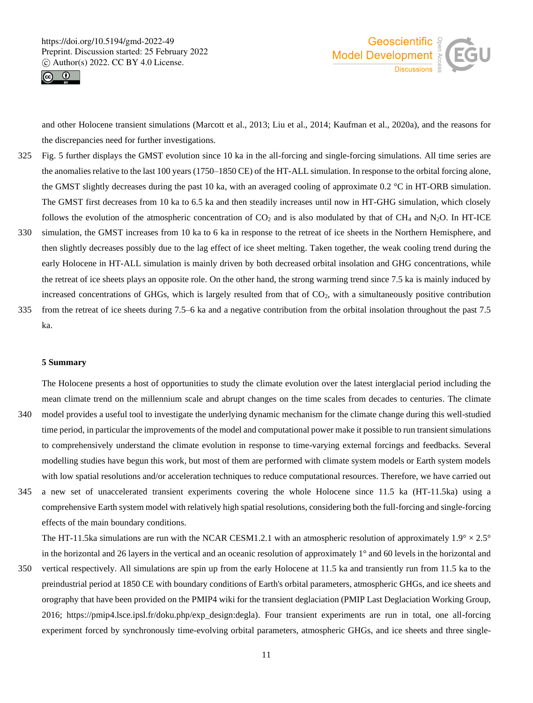



and other Holocene transient simulations (Marcott et al., 2013; Liu et al., 2014; Kaufman et al., 2020a), and the reasons for the discrepancies need for further investigations.

- 325 Fig. 5 further displays the GMST evolution since 10 ka in the all-forcing and single-forcing simulations. All time series are the anomalies relative to the last 100 years (1750–1850 CE) of the HT-ALL simulation. In response to the orbital forcing alone, the GMST slightly decreases during the past 10 ka, with an averaged cooling of approximate 0.2 °C in HT-ORB simulation. The GMST first decreases from 10 ka to 6.5 ka and then steadily increases until now in HT-GHG simulation, which closely follows the evolution of the atmospheric concentration of  $CO_2$  and is also modulated by that of CH<sub>4</sub> and N<sub>2</sub>O. In HT-ICE
- 330 simulation, the GMST increases from 10 ka to 6 ka in response to the retreat of ice sheets in the Northern Hemisphere, and then slightly decreases possibly due to the lag effect of ice sheet melting. Taken together, the weak cooling trend during the early Holocene in HT-ALL simulation is mainly driven by both decreased orbital insolation and GHG concentrations, while the retreat of ice sheets plays an opposite role. On the other hand, the strong warming trend since 7.5 ka is mainly induced by increased concentrations of GHGs, which is largely resulted from that of  $CO<sub>2</sub>$ , with a simultaneously positive contribution
- 335 from the retreat of ice sheets during 7.5–6 ka and a negative contribution from the orbital insolation throughout the past 7.5 ka.

## **5 Summary**

The Holocene presents a host of opportunities to study the climate evolution over the latest interglacial period including the mean climate trend on the millennium scale and abrupt changes on the time scales from decades to centuries. The climate 340 model provides a useful tool to investigate the underlying dynamic mechanism for the climate change during this well-studied time period, in particular the improvements of the model and computational power make it possible to run transient simulations to comprehensively understand the climate evolution in response to time-varying external forcings and feedbacks. Several modelling studies have begun this work, but most of them are performed with climate system models or Earth system models with low spatial resolutions and/or acceleration techniques to reduce computational resources. Therefore, we have carried out

345 a new set of unaccelerated transient experiments covering the whole Holocene since 11.5 ka (HT-11.5ka) using a comprehensive Earth system model with relatively high spatial resolutions, considering both the full-forcing and single-forcing effects of the main boundary conditions.

The HT-11.5ka simulations are run with the NCAR CESM1.2.1 with an atmospheric resolution of approximately  $1.9^{\circ} \times 2.5^{\circ}$ in the horizontal and 26 layers in the vertical and an oceanic resolution of approximately 1° and 60 levels in the horizontal and

350 vertical respectively. All simulations are spin up from the early Holocene at 11.5 ka and transiently run from 11.5 ka to the preindustrial period at 1850 CE with boundary conditions of Earth's orbital parameters, atmospheric GHGs, and ice sheets and orography that have been provided on the PMIP4 wiki for the transient deglaciation (PMIP Last Deglaciation Working Group, 2016; https://pmip4.lsce.ipsl.fr/doku.php/exp\_design:degla). Four transient experiments are run in total, one all-forcing experiment forced by synchronously time-evolving orbital parameters, atmospheric GHGs, and ice sheets and three single-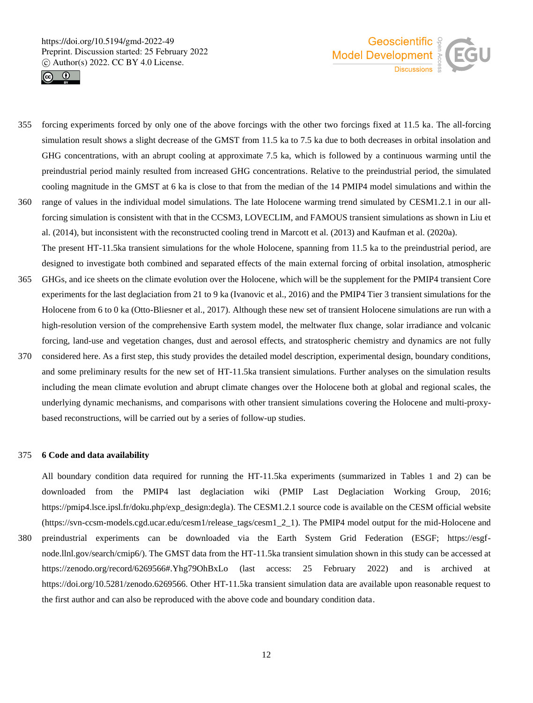



- 355 forcing experiments forced by only one of the above forcings with the other two forcings fixed at 11.5 ka. The all-forcing simulation result shows a slight decrease of the GMST from 11.5 ka to 7.5 ka due to both decreases in orbital insolation and GHG concentrations, with an abrupt cooling at approximate 7.5 ka, which is followed by a continuous warming until the preindustrial period mainly resulted from increased GHG concentrations. Relative to the preindustrial period, the simulated cooling magnitude in the GMST at 6 ka is close to that from the median of the 14 PMIP4 model simulations and within the 360 range of values in the individual model simulations. The late Holocene warming trend simulated by CESM1.2.1 in our all-
- forcing simulation is consistent with that in the CCSM3, LOVECLIM, and FAMOUS transient simulations as shown in Liu et al. (2014), but inconsistent with the reconstructed cooling trend in Marcott et al. (2013) and Kaufman et al. (2020a). The present HT-11.5ka transient simulations for the whole Holocene, spanning from 11.5 ka to the preindustrial period, are designed to investigate both combined and separated effects of the main external forcing of orbital insolation, atmospheric
- 365 GHGs, and ice sheets on the climate evolution over the Holocene, which will be the supplement for the PMIP4 transient Core experiments for the last deglaciation from 21 to 9 ka (Ivanovic et al., 2016) and the PMIP4 Tier 3 transient simulations for the Holocene from 6 to 0 ka (Otto-Bliesner et al., 2017). Although these new set of transient Holocene simulations are run with a high-resolution version of the comprehensive Earth system model, the meltwater flux change, solar irradiance and volcanic forcing, land-use and vegetation changes, dust and aerosol effects, and stratospheric chemistry and dynamics are not fully
- 370 considered here. As a first step, this study provides the detailed model description, experimental design, boundary conditions, and some preliminary results for the new set of HT-11.5ka transient simulations. Further analyses on the simulation results including the mean climate evolution and abrupt climate changes over the Holocene both at global and regional scales, the underlying dynamic mechanisms, and comparisons with other transient simulations covering the Holocene and multi-proxybased reconstructions, will be carried out by a series of follow-up studies.

## 375 **6 Code and data availability**

All boundary condition data required for running the HT-11.5ka experiments (summarized in Tables 1 and 2) can be downloaded from the PMIP4 last deglaciation wiki (PMIP Last Deglaciation Working Group, 2016; https://pmip4.lsce.ipsl.fr/doku.php/exp\_design:degla). The CESM1.2.1 source code is available on the CESM official website (https://svn-ccsm-models.cgd.ucar.edu/cesm1/release\_tags/cesm1\_2\_1). The PMIP4 model output for the mid-Holocene and

380 preindustrial experiments can be downloaded via the Earth System Grid Federation (ESGF; https://esgfnode.llnl.gov/search/cmip6/). The GMST data from the HT-11.5ka transient simulation shown in this study can be accessed at https://zenodo.org/record/6269566#.Yhg79OhBxLo (last access: 25 February 2022) and is archived at https://doi.org/10.5281/zenodo.6269566. Other HT-11.5ka transient simulation data are available upon reasonable request to the first author and can also be reproduced with the above code and boundary condition data.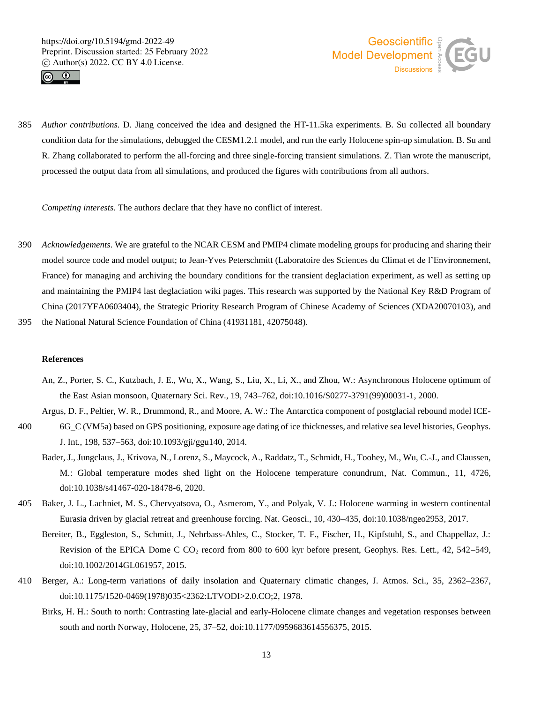



385 *Author contributions.* D. Jiang conceived the idea and designed the HT-11.5ka experiments. B. Su collected all boundary condition data for the simulations, debugged the CESM1.2.1 model, and run the early Holocene spin-up simulation. B. Su and R. Zhang collaborated to perform the all-forcing and three single-forcing transient simulations. Z. Tian wrote the manuscript, processed the output data from all simulations, and produced the figures with contributions from all authors.

*Competing interests*. The authors declare that they have no conflict of interest.

390 *Acknowledgements*. We are grateful to the NCAR CESM and PMIP4 climate modeling groups for producing and sharing their model source code and model output; to Jean-Yves Peterschmitt (Laboratoire des Sciences du Climat et de l'Environnement, France) for managing and archiving the boundary conditions for the transient deglaciation experiment, as well as setting up and maintaining the PMIP4 last deglaciation wiki pages. This research was supported by the National Key R&D Program of China (2017YFA0603404), the Strategic Priority Research Program of Chinese Academy of Sciences (XDA20070103), and

395 the National Natural Science Foundation of China (41931181, 42075048).

# **References**

An, Z., Porter, S. C., Kutzbach, J. E., Wu, X., Wang, S., Liu, X., Li, X., and Zhou, W.: Asynchronous Holocene optimum of the East Asian monsoon, Quaternary Sci. Rev., 19, 743–762, doi:10.1016/S0277-3791(99)00031-1, 2000.

Argus, D. F., Peltier, W. R., Drummond, R., and Moore, A. W.: The Antarctica component of postglacial rebound model ICE-400 6G\_C (VM5a) based on GPS positioning, exposure age dating of ice thicknesses, and relative sea level histories, Geophys.

- J. Int., 198, 537–563, doi:10.1093/gji/ggu140, 2014.
- Bader, J., Jungclaus, J., Krivova, N., Lorenz, S., Maycock, A., Raddatz, T., Schmidt, H., Toohey, M., Wu, C.-J., and Claussen, M.: Global temperature modes shed light on the Holocene temperature conundrum, Nat. Commun., 11, 4726, doi:10.1038/s41467-020-18478-6, 2020.
- 405 Baker, J. L., Lachniet, M. S., Chervyatsova, O., Asmerom, Y., and Polyak, V. J.: Holocene warming in western continental Eurasia driven by glacial retreat and greenhouse forcing. Nat. Geosci., 10, 430–435, doi:10.1038/ngeo2953, 2017.
	- Bereiter, B., Eggleston, S., Schmitt, J., Nehrbass-Ahles, C., Stocker, T. F., Fischer, H., Kipfstuhl, S., and Chappellaz, J.: Revision of the EPICA Dome C CO<sup>2</sup> record from 800 to 600 kyr before present, Geophys. Res. Lett., 42, 542–549, doi:10.1002/2014GL061957, 2015.
- 410 Berger, A.: Long-term variations of daily insolation and Quaternary climatic changes, J. Atmos. Sci., 35, 2362–2367, doi:10.1175/1520-0469(1978)035<2362:LTVODI>2.0.CO;2, 1978.
	- Birks, H. H.: South to north: Contrasting late-glacial and early-Holocene climate changes and vegetation responses between south and north Norway, Holocene, 25, 37–52, doi:10.1177/0959683614556375, 2015.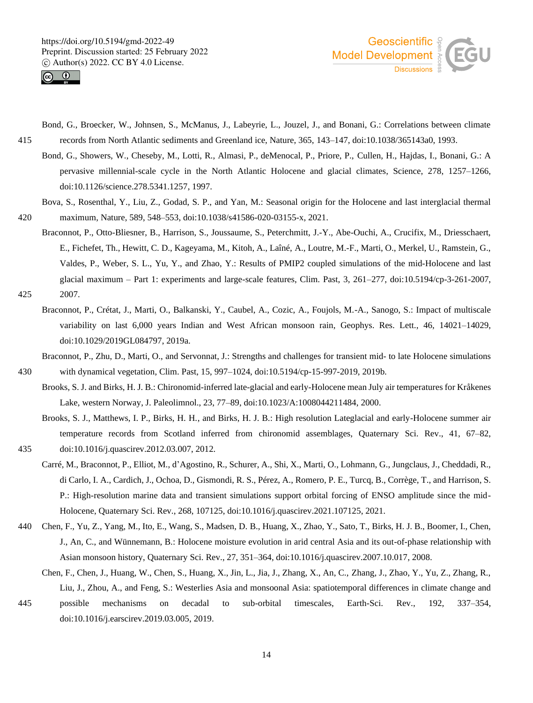



- Bond, G., Broecker, W., Johnsen, S., McManus, J., Labeyrie, L., Jouzel, J., and Bonani, G.: Correlations between climate 415 records from North Atlantic sediments and Greenland ice, Nature, 365, 143–147, doi:10.1038/365143a0, 1993.
	- Bond, G., Showers, W., Cheseby, M., Lotti, R., Almasi, P., deMenocal, P., Priore, P., Cullen, H., Hajdas, I., Bonani, G.: A pervasive millennial-scale cycle in the North Atlantic Holocene and glacial climates, Science, 278, 1257–1266, doi:10.1126/science.278.5341.1257, 1997.
- Bova, S., Rosenthal, Y., Liu, Z., Godad, S. P., and Yan, M.: Seasonal origin for the Holocene and last interglacial thermal 420 maximum, Nature, 589, 548–553, doi:10.1038/s41586-020-03155-x, 2021.
- Braconnot, P., Otto-Bliesner, B., Harrison, S., Joussaume, S., Peterchmitt, J.-Y., Abe-Ouchi, A., Crucifix, M., Driesschaert, E., Fichefet, Th., Hewitt, C. D., Kageyama, M., Kitoh, A., Laîné, A., Loutre, M.-F., Marti, O., Merkel, U., Ramstein, G., Valdes, P., Weber, S. L., Yu, Y., and Zhao, Y.: Results of PMIP2 coupled simulations of the mid-Holocene and last glacial maximum – Part 1: experiments and large-scale features, Clim. Past, 3, 261–277, doi:10.5194/cp-3-261-2007, 425 2007.
	- Braconnot, P., Crétat, J., Marti, O., Balkanski, Y., Caubel, A., Cozic, A., Foujols, M.-A., Sanogo, S.: Impact of multiscale variability on last 6,000 years Indian and West African monsoon rain, Geophys. Res. Lett., 46, 14021–14029, doi:10.1029/2019GL084797, 2019a.
- Braconnot, P., Zhu, D., Marti, O., and Servonnat, J.: Strengths and challenges for transient mid- to late Holocene simulations 430 with dynamical vegetation, Clim. Past, 15, 997–1024, doi:10.5194/cp-15-997-2019, 2019b.
	- Brooks, S. J. and Birks, H. J. B.: Chironomid-inferred late-glacial and early-Holocene mean July air temperatures for Kråkenes Lake, western Norway, J. Paleolimnol., 23, 77–89, doi:10.1023/A:1008044211484, 2000.
- Brooks, S. J., Matthews, I. P., Birks, H. H., and Birks, H. J. B.: High resolution Lateglacial and early-Holocene summer air temperature records from Scotland inferred from chironomid assemblages, Quaternary Sci. Rev., 41, 67–82, 435 doi:10.1016/j.quascirev.2012.03.007, 2012.
	- Carré, M., Braconnot, P., Elliot, M., d'Agostino, R., Schurer, A., Shi, X., Marti, O., Lohmann, G., Jungclaus, J., Cheddadi, R., di Carlo, I. A., Cardich, J., Ochoa, D., Gismondi, R. S., Pérez, A., Romero, P. E., Turcq, B., Corrège, T., and Harrison, S. P.: High-resolution marine data and transient simulations support orbital forcing of ENSO amplitude since the mid-Holocene, Quaternary Sci. Rev., 268, 107125, doi:10.1016/j.quascirev.2021.107125, 2021.
- 440 Chen, F., Yu, Z., Yang, M., Ito, E., Wang, S., Madsen, D. B., Huang, X., Zhao, Y., Sato, T., Birks, H. J. B., Boomer, I., Chen, J., An, C., and Wünnemann, B.: Holocene moisture evolution in arid central Asia and its out-of-phase relationship with Asian monsoon history, Quaternary Sci. Rev., 27, 351–364, doi:10.1016/j.quascirev.2007.10.017, 2008.
	- Chen, F., Chen, J., Huang, W., Chen, S., Huang, X., Jin, L., Jia, J., Zhang, X., An, C., Zhang, J., Zhao, Y., Yu, Z., Zhang, R., Liu, J., Zhou, A., and Feng, S.: Westerlies Asia and monsoonal Asia: spatiotemporal differences in climate change and
- 445 possible mechanisms on decadal to sub-orbital timescales, Earth-Sci. Rev., 192, 337–354, doi:10.1016/j.earscirev.2019.03.005, 2019.
	- 14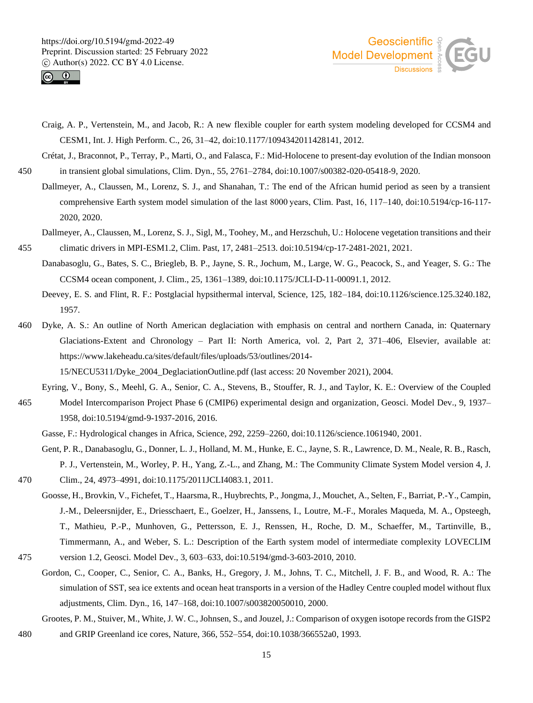



Craig, A. P., Vertenstein, M., and Jacob, R.: A new flexible coupler for earth system modeling developed for CCSM4 and CESM1, Int. J. High Perform. C., 26, 31–42, doi:10.1177/1094342011428141, 2012.

Crétat, J., Braconnot, P., Terray, P., Marti, O., and Falasca, F.: Mid-Holocene to present-day evolution of the Indian monsoon 450 in transient global simulations, Clim. Dyn., 55, 2761–2784, doi:10.1007/s00382-020-05418-9, 2020.

- Dallmeyer, A., Claussen, M., Lorenz, S. J., and Shanahan, T.: The end of the African humid period as seen by a transient comprehensive Earth system model simulation of the last 8000 years, Clim. Past, 16, 117–140, doi:10.5194/cp-16-117- 2020, 2020.
- Dallmeyer, A., Claussen, M., Lorenz, S. J., Sigl, M., Toohey, M., and Herzschuh, U.: Holocene vegetation transitions and their 455 climatic drivers in MPI-ESM1.2, Clim. Past, 17, 2481–2513. doi:10.5194/cp-17-2481-2021, 2021.
	- Danabasoglu, G., Bates, S. C., Briegleb, B. P., Jayne, S. R., Jochum, M., Large, W. G., Peacock, S., and Yeager, S. G.: The CCSM4 ocean component, J. Clim., 25, 1361–1389, doi:10.1175/JCLI-D-11-00091.1, 2012.
	- Deevey, E. S. and Flint, R. F.: Postglacial hypsithermal interval, Science, 125, 182–184, doi:10.1126/science.125.3240.182, 1957.
- 460 Dyke, A. S.: An outline of North American deglaciation with emphasis on central and northern Canada, in: Quaternary Glaciations-Extent and Chronology – Part II: North America, vol. 2, Part 2, 371–406, Elsevier, available at: https://www.lakeheadu.ca/sites/default/files/uploads/53/outlines/2014-
	- 15/NECU5311/Dyke\_2004\_DeglaciationOutline.pdf (last access: 20 November 2021), 2004.
- Eyring, V., Bony, S., Meehl, G. A., Senior, C. A., Stevens, B., Stouffer, R. J., and Taylor, K. E.: Overview of the Coupled 465 Model Intercomparison Project Phase 6 (CMIP6) experimental design and organization, Geosci. Model Dev., 9, 1937– 1958, doi:10.5194/gmd-9-1937-2016, 2016.
	- Gasse, F.: Hydrological changes in Africa, Science, 292, 2259–2260, doi:10.1126/science.1061940, 2001.
- Gent, P. R., Danabasoglu, G., Donner, L. J., Holland, M. M., Hunke, E. C., Jayne, S. R., Lawrence, D. M., Neale, R. B., Rasch, P. J., Vertenstein, M., Worley, P. H., Yang, Z.-L., and Zhang, M.: The Community Climate System Model version 4, J. 470 Clim., 24, 4973–4991, doi:10.1175/2011JCLI4083.1, 2011.
- Goosse, H., Brovkin, V., Fichefet, T., Haarsma, R., Huybrechts, P., Jongma, J., Mouchet, A., Selten, F., Barriat, P.-Y., Campin, J.-M., Deleersnijder, E., Driesschaert, E., Goelzer, H., Janssens, I., Loutre, M.-F., Morales Maqueda, M. A., Opsteegh, T., Mathieu, P.-P., Munhoven, G., Pettersson, E. J., Renssen, H., Roche, D. M., Schaeffer, M., Tartinville, B., Timmermann, A., and Weber, S. L.: Description of the Earth system model of intermediate complexity LOVECLIM 475 version 1.2, Geosci. Model Dev., 3, 603–633, doi:10.5194/gmd-3-603-2010, 2010.
- Gordon, C., Cooper, C., Senior, C. A., Banks, H., Gregory, J. M., Johns, T. C., Mitchell, J. F. B., and Wood, R. A.: The simulation of SST, sea ice extents and ocean heat transports in a version of the Hadley Centre coupled model without flux adjustments, Clim. Dyn., 16, 147–168, doi:10.1007/s003820050010, 2000.
- Grootes, P. M., Stuiver, M., White, J. W. C., Johnsen, S., and Jouzel, J.: Comparison of oxygen isotope records from the GISP2 480 and GRIP Greenland ice cores, Nature, 366, 552–554, doi:10.1038/366552a0, 1993.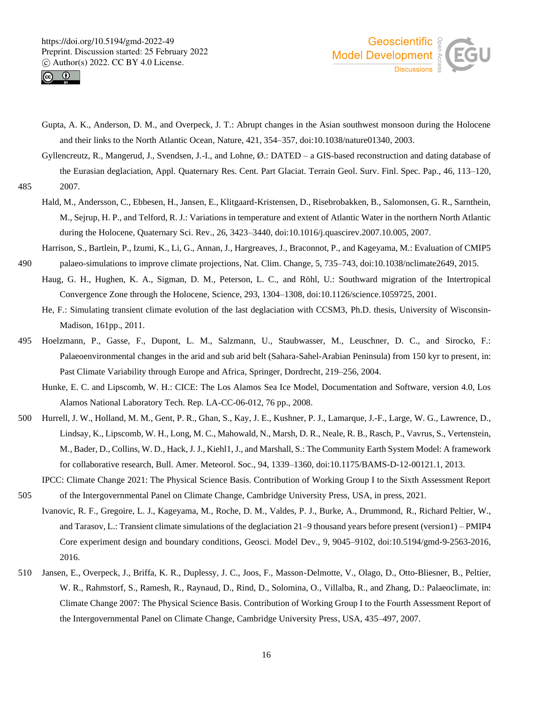



- Gupta, A. K., Anderson, D. M., and Overpeck, J. T.: Abrupt changes in the Asian southwest monsoon during the Holocene and their links to the North Atlantic Ocean, Nature, 421, 354–357, doi:10.1038/nature01340, 2003.
- Gyllencreutz, R., Mangerud, J., Svendsen, J.-I., and Lohne, Ø.: DATED a GIS-based reconstruction and dating database of the Eurasian deglaciation, Appl. Quaternary Res. Cent. Part Glaciat. Terrain Geol. Surv. Finl. Spec. Pap., 46, 113–120, 485 2007.
	- Hald, M., Andersson, C., Ebbesen, H., Jansen, E., Klitgaard-Kristensen, D., Risebrobakken, B., Salomonsen, G. R., Sarnthein, M., Sejrup, H. P., and Telford, R. J.: Variations in temperature and extent of Atlantic Water in the northern North Atlantic during the Holocene, Quaternary Sci. Rev., 26, 3423–3440, doi:10.1016/j.quascirev.2007.10.005, 2007.
- Harrison, S., Bartlein, P., Izumi, K., Li, G., Annan, J., Hargreaves, J., Braconnot, P., and Kageyama, M.: Evaluation of CMIP5 490 palaeo-simulations to improve climate projections, Nat. Clim. Change, 5, 735–743, doi:10.1038/nclimate2649, 2015.
	- Haug, G. H., Hughen, K. A., Sigman, D. M., Peterson, L. C., and Röhl, U.: Southward migration of the Intertropical Convergence Zone through the Holocene, Science, 293, 1304–1308, doi:10.1126/science.1059725, 2001.
	- He, F.: Simulating transient climate evolution of the last deglaciation with CCSM3, Ph.D. thesis, University of Wisconsin-Madison, 161pp., 2011.
- 495 Hoelzmann, P., Gasse, F., Dupont, L. M., Salzmann, U., Staubwasser, M., Leuschner, D. C., and Sirocko, F.: Palaeoenvironmental changes in the arid and sub arid belt (Sahara-Sahel-Arabian Peninsula) from 150 kyr to present, in: Past Climate Variability through Europe and Africa, Springer, Dordrecht, 219–256, 2004.
	- Hunke, E. C. and Lipscomb, W. H.: CICE: The Los Alamos Sea Ice Model, Documentation and Software, version 4.0, Los Alamos National Laboratory Tech. Rep. LA-CC-06-012, 76 pp., 2008.
- 500 Hurrell, J. W., Holland, M. M., Gent, P. R., Ghan, S., Kay, J. E., Kushner, P. J., Lamarque, J.-F., Large, W. G., Lawrence, D., Lindsay, K., Lipscomb, W. H., Long, M. C., Mahowald, N., Marsh, D. R., Neale, R. B., Rasch, P., Vavrus, S., Vertenstein, M., Bader, D., Collins, W. D., Hack, J. J., Kiehl1, J., and Marshall, S.: The Community Earth System Model: A framework for collaborative research, Bull. Amer. Meteorol. Soc., 94, 1339–1360, doi:10.1175/BAMS-D-12-00121.1, 2013.
- IPCC: Climate Change 2021: The Physical Science Basis. Contribution of Working Group I to the Sixth Assessment Report 505 of the Intergovernmental Panel on Climate Change, Cambridge University Press, USA, in press, 2021.
- Ivanovic, R. F., Gregoire, L. J., Kageyama, M., Roche, D. M., Valdes, P. J., Burke, A., Drummond, R., Richard Peltier, W., and Tarasov, L.: Transient climate simulations of the deglaciation 21–9 thousand years before present (version1) – PMIP4 Core experiment design and boundary conditions, Geosci. Model Dev., 9, 9045–9102, doi:10.5194/gmd-9-2563-2016, 2016.
- 510 Jansen, E., Overpeck, J., Briffa, K. R., Duplessy, J. C., Joos, F., Masson-Delmotte, V., Olago, D., Otto-Bliesner, B., Peltier, W. R., Rahmstorf, S., Ramesh, R., Raynaud, D., Rind, D., Solomina, O., Villalba, R., and Zhang, D.: Palaeoclimate, in: Climate Change 2007: The Physical Science Basis. Contribution of Working Group I to the Fourth Assessment Report of the Intergovernmental Panel on Climate Change, Cambridge University Press, USA, 435–497, 2007.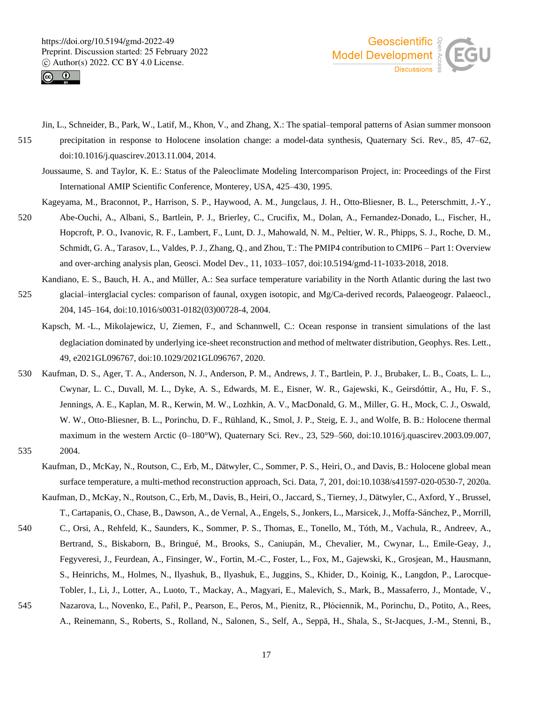



- Jin, L., Schneider, B., Park, W., Latif, M., Khon, V., and Zhang, X.: The spatial–temporal patterns of Asian summer monsoon
- 515 precipitation in response to Holocene insolation change: a model-data synthesis, Quaternary Sci. Rev., 85, 47–62, doi:10.1016/j.quascirev.2013.11.004, 2014.
	- Joussaume, S. and Taylor, K. E.: Status of the Paleoclimate Modeling Intercomparison Project, in: Proceedings of the First International AMIP Scientific Conference, Monterey, USA, 425–430, 1995.
	- Kageyama, M., Braconnot, P., Harrison, S. P., Haywood, A. M., Jungclaus, J. H., Otto-Bliesner, B. L., Peterschmitt, J.-Y.,
- 520 Abe-Ouchi, A., Albani, S., Bartlein, P. J., Brierley, C., Crucifix, M., Dolan, A., Fernandez-Donado, L., Fischer, H., Hopcroft, P. O., Ivanovic, R. F., Lambert, F., Lunt, D. J., Mahowald, N. M., Peltier, W. R., Phipps, S. J., Roche, D. M., Schmidt, G. A., Tarasov, L., Valdes, P. J., Zhang, Q., and Zhou, T.: The PMIP4 contribution to CMIP6 – Part 1: Overview and over-arching analysis plan, Geosci. Model Dev., 11, 1033–1057, doi:10.5194/gmd-11-1033-2018, 2018.
	- Kandiano, E. S., Bauch, H. A., and Müller, A.: Sea surface temperature variability in the North Atlantic during the last two
- 525 glacial–interglacial cycles: comparison of faunal, oxygen isotopic, and Mg/Ca-derived records, Palaeogeogr. Palaeocl., 204, 145–164, doi:10.1016/s0031-0182(03)00728-4, 2004.
	- Kapsch, M.-L., Mikolajewicz, U, Ziemen, F., and Schannwell, C.: Ocean response in transient simulations of the last deglaciation dominated by underlying ice-sheet reconstruction and method of meltwater distribution, Geophys. Res. Lett., 49, e2021GL096767, doi:10.1029/2021GL096767, 2020.
- 530 Kaufman, D. S., Ager, T. A., Anderson, N. J., Anderson, P. M., Andrews, J. T., Bartlein, P. J., Brubaker, L. B., Coats, L. L., Cwynar, L. C., Duvall, M. L., Dyke, A. S., Edwards, M. E., Eisner, W. R., Gajewski, K., Geirsdóttir, A., Hu, F. S., Jennings, A. E., Kaplan, M. R., Kerwin, M. W., Lozhkin, A. V., MacDonald, G. M., Miller, G. H., Mock, C. J., Oswald, W. W., Otto-Bliesner, B. L., Porinchu, D. F., Rühland, K., Smol, J. P., Steig, E. J., and Wolfe, B. B.: Holocene thermal maximum in the western Arctic (0–180°W), Quaternary Sci. Rev., 23, 529–560, doi:10.1016/j.quascirev.2003.09.007, 535 2004.
- - Kaufman, D., McKay, N., Routson, C., Erb, M., Dätwyler, C., Sommer, P. S., Heiri, O., and Davis, B.: Holocene global mean surface temperature, a multi-method reconstruction approach, Sci. Data, 7, 201, doi:10.1038/s41597-020-0530-7, 2020a.

Kaufman, D., McKay, N., Routson, C., Erb, M., Davis, B., Heiri, O., Jaccard, S., Tierney, J., Dätwyler, C., Axford, Y., Brussel, T., Cartapanis, O., Chase, B., Dawson, A., de Vernal, A., Engels, S., Jonkers, L., Marsicek, J., Moffa-Sánchez, P., Morrill,

- 540 C., Orsi, A., Rehfeld, K., Saunders, K., Sommer, P. S., Thomas, E., Tonello, M., Tóth, M., Vachula, R., Andreev, A., Bertrand, S., Biskaborn, B., Bringué, M., Brooks, S., Caniupán, M., Chevalier, M., Cwynar, L., Emile-Geay, J., Fegyveresi, J., Feurdean, A., Finsinger, W., Fortin, M.-C., Foster, L., Fox, M., Gajewski, K., Grosjean, M., Hausmann, S., Heinrichs, M., Holmes, N., Ilyashuk, B., Ilyashuk, E., Juggins, S., Khider, D., Koinig, K., Langdon, P., Larocque-Tobler, I., Li, J., Lotter, A., Luoto, T., Mackay, A., Magyari, E., Malevich, S., Mark, B., Massaferro, J., Montade, V., 545 Nazarova, L., Novenko, E., Pařil, P., Pearson, E., Peros, M., Pienitz, R., Płóciennik, M., Porinchu, D., Potito, A., Rees,
- A., Reinemann, S., Roberts, S., Rolland, N., Salonen, S., Self, A., Seppä, H., Shala, S., St-Jacques, J.-M., Stenni, B.,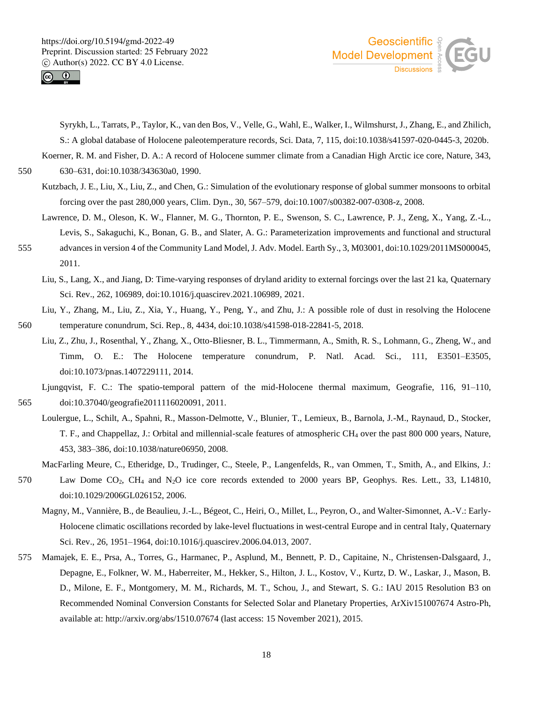



Syrykh, L., Tarrats, P., Taylor, K., van den Bos, V., Velle, G., Wahl, E., Walker, I., Wilmshurst, J., Zhang, E., and Zhilich, S.: A global database of Holocene paleotemperature records, Sci. Data, 7, 115, doi:10.1038/s41597-020-0445-3, 2020b.

Koerner, R. M. and Fisher, D. A.: A record of Holocene summer climate from a Canadian High Arctic ice core, Nature, 343,

550 630–631, doi:10.1038/343630a0, 1990.

- Kutzbach, J. E., Liu, X., Liu, Z., and Chen, G.: Simulation of the evolutionary response of global summer monsoons to orbital forcing over the past 280,000 years, Clim. Dyn., 30, 567–579, doi:10.1007/s00382-007-0308-z, 2008.
- Lawrence, D. M., Oleson, K. W., Flanner, M. G., Thornton, P. E., Swenson, S. C., Lawrence, P. J., Zeng, X., Yang, Z.-L., Levis, S., Sakaguchi, K., Bonan, G. B., and Slater, A. G.: Parameterization improvements and functional and structural
- 555 advances in version 4 of the Community Land Model, J. Adv. Model. Earth Sy., 3, M03001, doi:10.1029/2011MS000045, 2011.
	- Liu, S., Lang, X., and Jiang, D: Time-varying responses of dryland aridity to external forcings over the last 21 ka, Quaternary Sci. Rev., 262, 106989, doi:10.1016/j.quascirev.2021.106989, 2021.
- Liu, Y., Zhang, M., Liu, Z., Xia, Y., Huang, Y., Peng, Y., and Zhu, J.: A possible role of dust in resolving the Holocene 560 temperature conundrum, Sci. Rep., 8, 4434, doi:10.1038/s41598-018-22841-5, 2018.
	- Liu, Z., Zhu, J., Rosenthal, Y., Zhang, X., Otto-Bliesner, B. L., Timmermann, A., Smith, R. S., Lohmann, G., Zheng, W., and Timm, O. E.: The Holocene temperature conundrum, P. Natl. Acad. Sci., 111, E3501–E3505, doi:10.1073/pnas.1407229111, 2014.
- Ljungqvist, F. C.: The spatio-temporal pattern of the mid-Holocene thermal maximum, Geografie, 116, 91–110, 565 doi:10.37040/geografie2011116020091, 2011.
	- Loulergue, L., Schilt, A., Spahni, R., Masson-Delmotte, V., Blunier, T., Lemieux, B., Barnola, J.-M., Raynaud, D., Stocker, T. F., and Chappellaz, J.: Orbital and millennial-scale features of atmospheric CH<sup>4</sup> over the past 800 000 years, Nature, 453, 383–386, doi:10.1038/nature06950, 2008.
		- MacFarling Meure, C., Etheridge, D., Trudinger, C., Steele, P., Langenfelds, R., van Ommen, T., Smith, A., and Elkins, J.:
- 570 Law Dome CO2, CH<sup>4</sup> and N2O ice core records extended to 2000 years BP, Geophys. Res. Lett., 33, L14810, doi:10.1029/2006GL026152, 2006.
	- Magny, M., Vannière, B., de Beaulieu, J.-L., Bégeot, C., Heiri, O., Millet, L., Peyron, O., and Walter-Simonnet, A.-V.: Early-Holocene climatic oscillations recorded by lake-level fluctuations in west-central Europe and in central Italy, Quaternary Sci. Rev., 26, 1951–1964, doi:10.1016/j.quascirev.2006.04.013, 2007.
- 575 Mamajek, E. E., Prsa, A., Torres, G., Harmanec, P., Asplund, M., Bennett, P. D., Capitaine, N., Christensen-Dalsgaard, J., Depagne, E., Folkner, W. M., Haberreiter, M., Hekker, S., Hilton, J. L., Kostov, V., Kurtz, D. W., Laskar, J., Mason, B. D., Milone, E. F., Montgomery, M. M., Richards, M. T., Schou, J., and Stewart, S. G.: IAU 2015 Resolution B3 on Recommended Nominal Conversion Constants for Selected Solar and Planetary Properties, ArXiv151007674 Astro-Ph, available at: http://arxiv.org/abs/1510.07674 (last access: 15 November 2021), 2015.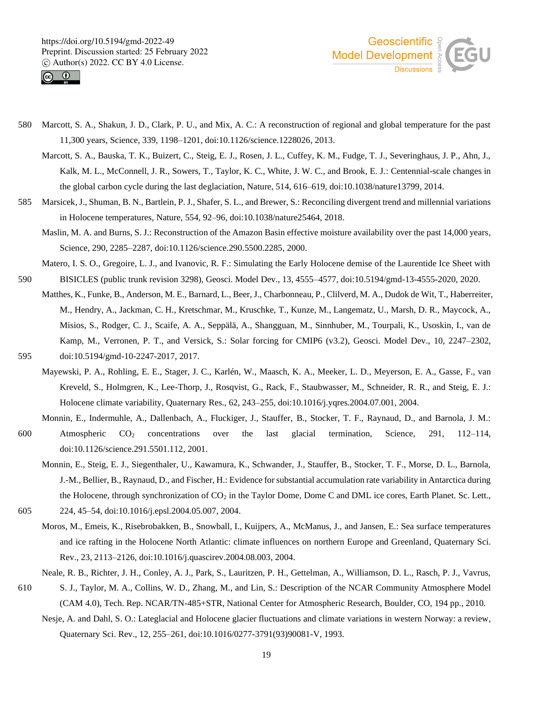



- 580 Marcott, S. A., Shakun, J. D., Clark, P. U., and Mix, A. C.: A reconstruction of regional and global temperature for the past 11,300 years, Science, 339, 1198–1201, doi:10.1126/science.1228026, 2013.
	- Marcott, S. A., Bauska, T. K., Buizert, C., Steig, E. J., Rosen, J. L., Cuffey, K. M., Fudge, T. J., Severinghaus, J. P., Ahn, J., Kalk, M. L., McConnell, J. R., Sowers, T., Taylor, K. C., White, J. W. C., and Brook, E. J.: Centennial-scale changes in the global carbon cycle during the last deglaciation, Nature, 514, 616–619, doi:10.1038/nature13799, 2014.
- 585 Marsicek, J., Shuman, B. N., Bartlein, P. J., Shafer, S. L., and Brewer, S.: Reconciling divergent trend and millennial variations in Holocene temperatures, Nature, 554, 92–96, doi:10.1038/nature25464, 2018.
	- Maslin, M. A. and Burns, S. J.: Reconstruction of the Amazon Basin effective moisture availability over the past 14,000 years, Science, 290, 2285–2287, doi:10.1126/science.290.5500.2285, 2000.
- Matero, I. S. O., Gregoire, L. J., and Ivanovic, R. F.: Simulating the Early Holocene demise of the Laurentide Ice Sheet with 590 BISICLES (public trunk revision 3298), Geosci. Model Dev., 13, 4555–4577, doi:10.5194/gmd-13-4555-2020, 2020.
- Matthes, K., Funke, B., Anderson, M. E., Barnard, L., Beer, J., Charbonneau, P., Clilverd, M. A., Dudok de Wit, T., Haberreiter, M., Hendry, A., Jackman, C. H., Kretschmar, M., Kruschke, T., Kunze, M., Langematz, U., Marsh, D. R., Maycock, A., Misios, S., Rodger, C. J., Scaife, A. A., Seppälä, A., Shangguan, M., Sinnhuber, M., Tourpali, K., Usoskin, I., van de Kamp, M., Verronen, P. T., and Versick, S.: Solar forcing for CMIP6 (v3.2), Geosci. Model Dev., 10, 2247–2302, 595 doi:10.5194/gmd-10-2247-2017, 2017.
- 
- Mayewski, P. A., Rohling, E. E., Stager, J. C., Karlén, W., Maasch, K. A., Meeker, L. D., Meyerson, E. A., Gasse, F., van Kreveld, S., Holmgren, K., Lee-Thorp, J., Rosqvist, G., Rack, F., Staubwasser, M., Schneider, R. R., and Steig, E. J.: Holocene climate variability, Quaternary Res., 62, 243–255, doi:10.1016/j.yqres.2004.07.001, 2004.
- Monnin, E., Indermuhle, A., Dallenbach, A., Fluckiger, J., Stauffer, B., Stocker, T. F., Raynaud, D., and Barnola, J. M.: 600 Atmospheric  $CO<sub>2</sub>$  concentrations over the last glacial termination, Science, 291, 112–114, doi:10.1126/science.291.5501.112, 2001.
- Monnin, E., Steig, E. J., Siegenthaler, U., Kawamura, K., Schwander, J., Stauffer, B., Stocker, T. F., Morse, D. L., Barnola, J.-M., Bellier, B., Raynaud, D., and Fischer, H.: Evidence for substantial accumulation rate variability in Antarctica during the Holocene, through synchronization of CO<sub>2</sub> in the Taylor Dome, Dome C and DML ice cores, Earth Planet. Sc. Lett., 605 224, 45–54, doi:10.1016/j.epsl.2004.05.007, 2004.
	- Moros, M., Emeis, K., Risebrobakken, B., Snowball, I., Kuijpers, A., McManus, J., and Jansen, E.: Sea surface temperatures and ice rafting in the Holocene North Atlantic: climate influences on northern Europe and Greenland, Quaternary Sci. Rev., 23, 2113–2126, doi:10.1016/j.quascirev.2004.08.003, 2004.
	- Neale, R. B., Richter, J. H., Conley, A. J., Park, S., Lauritzen, P. H., Gettelman, A., Williamson, D. L., Rasch, P. J., Vavrus,
- 610 S. J., Taylor, M. A., Collins, W. D., Zhang, M., and Lin, S.: Description of the NCAR Community Atmosphere Model (CAM 4.0), Tech. Rep. NCAR/TN-485+STR, National Center for Atmospheric Research, Boulder, CO, 194 pp., 2010.
	- Nesje, A. and Dahl, S. O.: Lateglacial and Holocene glacier fluctuations and climate variations in western Norway: a review, Quaternary Sci. Rev., 12, 255–261, doi:10.1016/0277-3791(93)90081-V, 1993.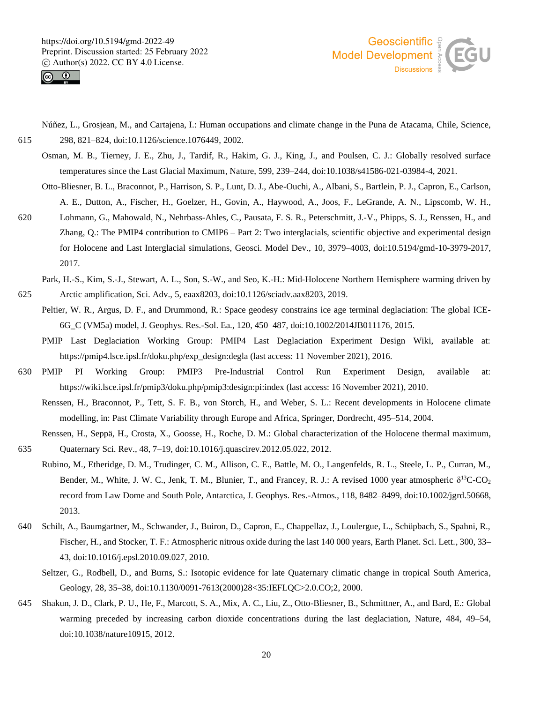



- Núñez, L., Grosjean, M., and Cartajena, I.: Human occupations and climate change in the Puna de Atacama, Chile, Science, 615 298, 821–824, doi:10.1126/science.1076449, 2002.
	- Osman, M. B., Tierney, J. E., Zhu, J., Tardif, R., Hakim, G. J., King, J., and Poulsen, C. J.: Globally resolved surface temperatures since the Last Glacial Maximum, Nature, 599, 239–244, doi:10.1038/s41586-021-03984-4, 2021.
	- Otto-Bliesner, B. L., Braconnot, P., Harrison, S. P., Lunt, D. J., Abe-Ouchi, A., Albani, S., Bartlein, P. J., Capron, E., Carlson, A. E., Dutton, A., Fischer, H., Goelzer, H., Govin, A., Haywood, A., Joos, F., LeGrande, A. N., Lipscomb, W. H.,
- 620 Lohmann, G., Mahowald, N., Nehrbass-Ahles, C., Pausata, F. S. R., Peterschmitt, J.-V., Phipps, S. J., Renssen, H., and Zhang, Q.: The PMIP4 contribution to CMIP6 – Part 2: Two interglacials, scientific objective and experimental design for Holocene and Last Interglacial simulations, Geosci. Model Dev., 10, 3979–4003, doi:10.5194/gmd-10-3979-2017, 2017.
- Park, H.-S., Kim, S.-J., Stewart, A. L., Son, S.-W., and Seo, K.-H.: Mid-Holocene Northern Hemisphere warming driven by 625 Arctic amplification, Sci. Adv., 5, eaax8203, doi:10.1126/sciadv.aax8203, 2019.
	- Peltier, W. R., Argus, D. F., and Drummond, R.: Space geodesy constrains ice age terminal deglaciation: The global ICE-6G\_C (VM5a) model, J. Geophys. Res.-Sol. Ea., 120, 450–487, doi:10.1002/2014JB011176, 2015.
	- PMIP Last Deglaciation Working Group: PMIP4 Last Deglaciation Experiment Design Wiki, available at: https://pmip4.lsce.ipsl.fr/doku.php/exp\_design:degla (last access: 11 November 2021), 2016.
- 630 PMIP PI Working Group: PMIP3 Pre-Industrial Control Run Experiment Design, available at: https://wiki.lsce.ipsl.fr/pmip3/doku.php/pmip3:design:pi:index (last access: 16 November 2021), 2010.
	- Renssen, H., Braconnot, P., Tett, S. F. B., von Storch, H., and Weber, S. L.: Recent developments in Holocene climate modelling, in: Past Climate Variability through Europe and Africa, Springer, Dordrecht, 495–514, 2004.
- Renssen, H., Seppä, H., Crosta, X., Goosse, H., Roche, D. M.: Global characterization of the Holocene thermal maximum, 635 Quaternary Sci. Rev., 48, 7–19, doi:10.1016/j.quascirev.2012.05.022, 2012.
- Rubino, M., Etheridge, D. M., Trudinger, C. M., Allison, C. E., Battle, M. O., Langenfelds, R. L., Steele, L. P., Curran, M., Bender, M., White, J. W. C., Jenk, T. M., Blunier, T., and Francey, R. J.: A revised 1000 year atmospheric  $\delta^{13}$ C-CO<sub>2</sub> record from Law Dome and South Pole, Antarctica, J. Geophys. Res.-Atmos., 118, 8482–8499, doi:10.1002/jgrd.50668, 2013.
- 640 Schilt, A., Baumgartner, M., Schwander, J., Buiron, D., Capron, E., Chappellaz, J., Loulergue, L., Schüpbach, S., Spahni, R., Fischer, H., and Stocker, T. F.: Atmospheric nitrous oxide during the last 140 000 years, Earth Planet. Sci. Lett., 300, 33– 43, doi:10.1016/j.epsl.2010.09.027, 2010.
	- Seltzer, G., Rodbell, D., and Burns, S.: Isotopic evidence for late Quaternary climatic change in tropical South America, Geology, 28, 35–38, doi:10.1130/0091-7613(2000)28<35:IEFLQC>2.0.CO;2, 2000.
- 645 Shakun, J. D., Clark, P. U., He, F., Marcott, S. A., Mix, A. C., Liu, Z., Otto-Bliesner, B., Schmittner, A., and Bard, E.: Global warming preceded by increasing carbon dioxide concentrations during the last deglaciation, Nature, 484, 49–54, doi:10.1038/nature10915, 2012.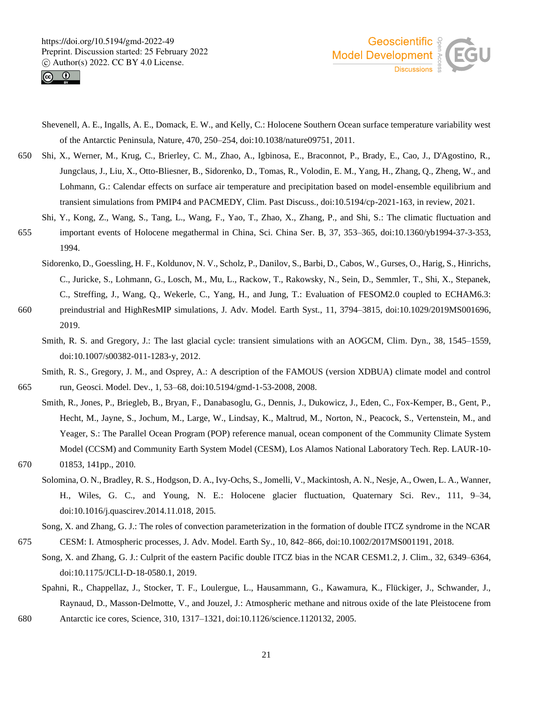



- Shevenell, A. E., Ingalls, A. E., Domack, E. W., and Kelly, C.: Holocene Southern Ocean surface temperature variability west of the Antarctic Peninsula, Nature, 470, 250–254, doi:10.1038/nature09751, 2011.
- 650 Shi, X., Werner, M., Krug, C., Brierley, C. M., Zhao, A., Igbinosa, E., Braconnot, P., Brady, E., Cao, J., D'Agostino, R., Jungclaus, J., Liu, X., Otto-Bliesner, B., Sidorenko, D., Tomas, R., Volodin, E. M., Yang, H., Zhang, Q., Zheng, W., and Lohmann, G.: Calendar effects on surface air temperature and precipitation based on model-ensemble equilibrium and transient simulations from PMIP4 and PACMEDY, Clim. Past Discuss., doi:10.5194/cp-2021-163, in review, 2021.
- Shi, Y., Kong, Z., Wang, S., Tang, L., Wang, F., Yao, T., Zhao, X., Zhang, P., and Shi, S.: The climatic fluctuation and 655 important events of Holocene megathermal in China, Sci. China Ser. B, 37, 353–365, doi:10.1360/yb1994-37-3-353, 1994.
	- Sidorenko, D., Goessling, H. F., Koldunov, N. V., Scholz, P., Danilov, S., Barbi, D., Cabos, W., Gurses, O., Harig, S., Hinrichs, C., Juricke, S., Lohmann, G., Losch, M., Mu, L., Rackow, T., Rakowsky, N., Sein, D., Semmler, T., Shi, X., Stepanek, C., Streffing, J., Wang, Q., Wekerle, C., Yang, H., and Jung, T.: Evaluation of FESOM2.0 coupled to ECHAM6.3:
- 660 preindustrial and HighResMIP simulations, J. Adv. Model. Earth Syst., 11, 3794–3815, doi:10.1029/2019MS001696, 2019.
	- Smith, R. S. and Gregory, J.: The last glacial cycle: transient simulations with an AOGCM, Clim. Dyn., 38, 1545–1559, doi:10.1007/s00382-011-1283-y, 2012.

Smith, R. S., Gregory, J. M., and Osprey, A.: A description of the FAMOUS (version XDBUA) climate model and control 665 run, Geosci. Model. Dev., 1, 53–68, doi:10.5194/gmd-1-53-2008, 2008.

- Smith, R., Jones, P., Briegleb, B., Bryan, F., Danabasoglu, G., Dennis, J., Dukowicz, J., Eden, C., Fox-Kemper, B., Gent, P., Hecht, M., Jayne, S., Jochum, M., Large, W., Lindsay, K., Maltrud, M., Norton, N., Peacock, S., Vertenstein, M., and Yeager, S.: The Parallel Ocean Program (POP) reference manual, ocean component of the Community Climate System Model (CCSM) and Community Earth System Model (CESM), Los Alamos National Laboratory Tech. Rep. LAUR-10- 670 01853, 141pp., 2010.
	- Solomina, O. N., Bradley, R. S., Hodgson, D. A., Ivy-Ochs, S., Jomelli, V., Mackintosh, A. N., Nesje, A., Owen, L. A., Wanner, H., Wiles, G. C., and Young, N. E.: Holocene glacier fluctuation, Quaternary Sci. Rev., 111, 9–34, doi:10.1016/j.quascirev.2014.11.018, 2015.
- Song, X. and Zhang, G. J.: The roles of convection parameterization in the formation of double ITCZ syndrome in the NCAR 675 CESM: I. Atmospheric processes, J. Adv. Model. Earth Sy., 10, 842–866, doi:10.1002/2017MS001191, 2018.
	- Song, X. and Zhang, G. J.: Culprit of the eastern Pacific double ITCZ bias in the NCAR CESM1.2, J. Clim., 32, 6349–6364, doi:10.1175/JCLI-D-18-0580.1, 2019.
- Spahni, R., Chappellaz, J., Stocker, T. F., Loulergue, L., Hausammann, G., Kawamura, K., Flückiger, J., Schwander, J., Raynaud, D., Masson-Delmotte, V., and Jouzel, J.: Atmospheric methane and nitrous oxide of the late Pleistocene from 680 Antarctic ice cores, Science, 310, 1317–1321, doi:10.1126/science.1120132, 2005.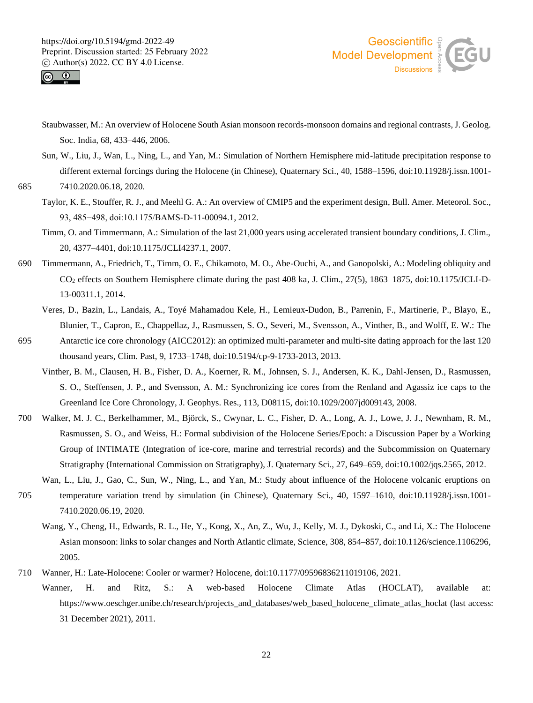



- Staubwasser, M.: An overview of Holocene South Asian monsoon records-monsoon domains and regional contrasts, J. Geolog. Soc. India, 68, 433–446, 2006.
- Sun, W., Liu, J., Wan, L., Ning, L., and Yan, M.: Simulation of Northern Hemisphere mid-latitude precipitation response to different external forcings during the Holocene (in Chinese), Quaternary Sci., 40, 1588–1596, doi:10.11928/j.issn.1001-

685 7410.2020.06.18, 2020.

- Taylor, K. E., Stouffer, R. J., and Meehl G. A.: An overview of CMIP5 and the experiment design, Bull. Amer. Meteorol. Soc., 93, 485−498, doi:10.1175/BAMS-D-11-00094.1, 2012.
- Timm, O. and Timmermann, A.: Simulation of the last 21,000 years using accelerated transient boundary conditions, J. Clim., 20, 4377–4401, doi:10.1175/JCLI4237.1, 2007.
- 690 Timmermann, A., Friedrich, T., Timm, O. E., Chikamoto, M. O., Abe-Ouchi, A., and Ganopolski, A.: Modeling obliquity and CO<sup>2</sup> effects on Southern Hemisphere climate during the past 408 ka, J. Clim., 27(5), 1863–1875, doi:10.1175/JCLI-D-13-00311.1, 2014.
	- Veres, D., Bazin, L., Landais, A., Toyé Mahamadou Kele, H., Lemieux-Dudon, B., Parrenin, F., Martinerie, P., Blayo, E., Blunier, T., Capron, E., Chappellaz, J., Rasmussen, S. O., Severi, M., Svensson, A., Vinther, B., and Wolff, E. W.: The
- 695 Antarctic ice core chronology (AICC2012): an optimized multi-parameter and multi-site dating approach for the last 120 thousand years, Clim. Past, 9, 1733–1748, doi:10.5194/cp-9-1733-2013, 2013.
	- Vinther, B. M., Clausen, H. B., Fisher, D. A., Koerner, R. M., Johnsen, S. J., Andersen, K. K., Dahl-Jensen, D., Rasmussen, S. O., Steffensen, J. P., and Svensson, A. M.: Synchronizing ice cores from the Renland and Agassiz ice caps to the Greenland Ice Core Chronology, J. Geophys. Res., 113, D08115, doi:10.1029/2007jd009143, 2008.
- 700 Walker, M. J. C., Berkelhammer, M., Björck, S., Cwynar, L. C., Fisher, D. A., Long, A. J., Lowe, J. J., Newnham, R. M., Rasmussen, S. O., and Weiss, H.: Formal subdivision of the Holocene Series/Epoch: a Discussion Paper by a Working Group of INTIMATE (Integration of ice-core, marine and terrestrial records) and the Subcommission on Quaternary Stratigraphy (International Commission on Stratigraphy), J. Quaternary Sci., 27, 649–659, doi:10.1002/jqs.2565, 2012.
- Wan, L., Liu, J., Gao, C., Sun, W., Ning, L., and Yan, M.: Study about influence of the Holocene volcanic eruptions on 705 temperature variation trend by simulation (in Chinese), Quaternary Sci., 40, 1597–1610, doi:10.11928/j.issn.1001- 7410.2020.06.19, 2020.
	- Wang, Y., Cheng, H., Edwards, R. L., He, Y., Kong, X., An, Z., Wu, J., Kelly, M. J., Dykoski, C., and Li, X.: The Holocene Asian monsoon: links to solar changes and North Atlantic climate, Science, 308, 854–857, doi:10.1126/science.1106296, 2005.
- 710 Wanner, H.: Late-Holocene: Cooler or warmer? Holocene, doi:10.1177/09596836211019106, 2021.
	- Wanner, H. and Ritz, S.: A web-based Holocene Climate Atlas (HOCLAT), available at: https://www.oeschger.unibe.ch/research/projects and databases/web based holocene climate atlas hoclat (last access: 31 December 2021), 2011.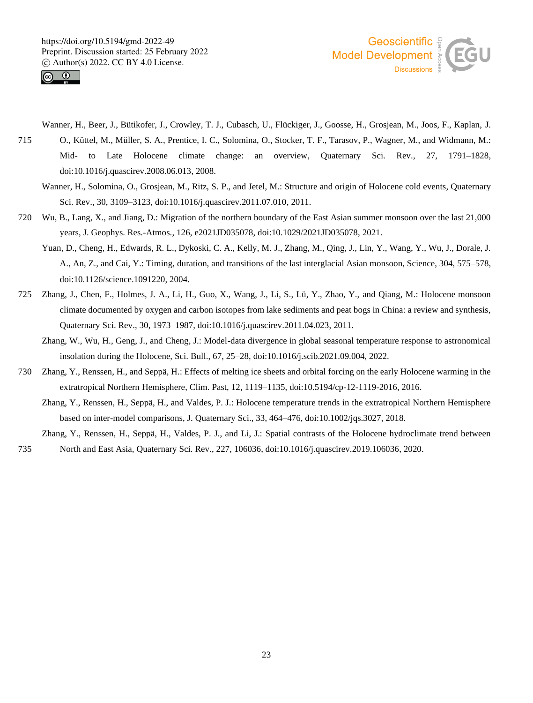



- Wanner, H., Beer, J., Bütikofer, J., Crowley, T. J., Cubasch, U., Flückiger, J., Goosse, H., Grosjean, M., Joos, F., Kaplan, J.
- 715 O., Küttel, M., Müller, S. A., Prentice, I. C., Solomina, O., Stocker, T. F., Tarasov, P., Wagner, M., and Widmann, M.: Mid- to Late Holocene climate change: an overview, Quaternary Sci. Rev., 27, 1791–1828, doi:10.1016/j.quascirev.2008.06.013, 2008.
	- Wanner, H., Solomina, O., Grosjean, M., Ritz, S. P., and Jetel, M.: Structure and origin of Holocene cold events, Quaternary Sci. Rev., 30, 3109–3123, doi:10.1016/j.quascirev.2011.07.010, 2011.
- 720 Wu, B., Lang, X., and Jiang, D.: Migration of the northern boundary of the East Asian summer monsoon over the last 21,000 years, J. Geophys. Res.-Atmos., 126, e2021JD035078, doi:10.1029/2021JD035078, 2021.
	- Yuan, D., Cheng, H., Edwards, R. L., Dykoski, C. A., Kelly, M. J., Zhang, M., Qing, J., Lin, Y., Wang, Y., Wu, J., Dorale, J. A., An, Z., and Cai, Y.: Timing, duration, and transitions of the last interglacial Asian monsoon, Science, 304, 575–578, doi:10.1126/science.1091220, 2004.
- 725 Zhang, J., Chen, F., Holmes, J. A., Li, H., Guo, X., Wang, J., Li, S., Lü, Y., Zhao, Y., and Qiang, M.: Holocene monsoon climate documented by oxygen and carbon isotopes from lake sediments and peat bogs in China: a review and synthesis, Quaternary Sci. Rev., 30, 1973–1987, doi:10.1016/j.quascirev.2011.04.023, 2011.
	- Zhang, W., Wu, H., Geng, J., and Cheng, J.: Model-data divergence in global seasonal temperature response to astronomical insolation during the Holocene, Sci. Bull., 67, 25–28, doi:10.1016/j.scib.2021.09.004, 2022.
- 730 Zhang, Y., Renssen, H., and Seppä, H.: Effects of melting ice sheets and orbital forcing on the early Holocene warming in the extratropical Northern Hemisphere, Clim. Past, 12, 1119–1135, doi:10.5194/cp-12-1119-2016, 2016.
	- Zhang, Y., Renssen, H., Seppä, H., and Valdes, P. J.: Holocene temperature trends in the extratropical Northern Hemisphere based on inter-model comparisons, J. Quaternary Sci., 33, 464–476, doi:10.1002/jqs.3027, 2018.
- Zhang, Y., Renssen, H., Seppä, H., Valdes, P. J., and Li, J.: Spatial contrasts of the Holocene hydroclimate trend between 735 North and East Asia, Quaternary Sci. Rev., 227, 106036, doi:10.1016/j.quascirev.2019.106036, 2020.

23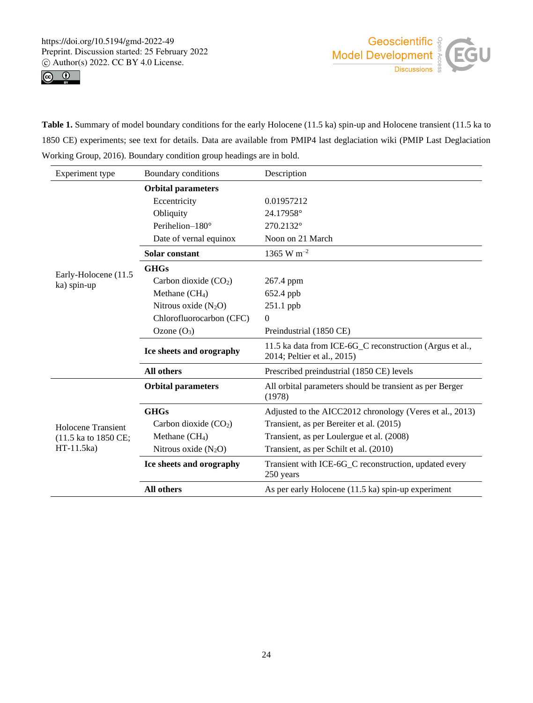



**Table 1.** Summary of model boundary conditions for the early Holocene (11.5 ka) spin-up and Holocene transient (11.5 ka to 1850 CE) experiments; see text for details. Data are available from PMIP4 last deglaciation wiki (PMIP Last Deglaciation Working Group, 2016). Boundary condition group headings are in bold.

| Experiment type                                          | Boundary conditions       | Description                                                                             |  |  |
|----------------------------------------------------------|---------------------------|-----------------------------------------------------------------------------------------|--|--|
|                                                          | <b>Orbital parameters</b> |                                                                                         |  |  |
| Early-Holocene (11.5)<br>ka) spin-up                     | Eccentricity              | 0.01957212                                                                              |  |  |
|                                                          | Obliquity                 | 24.17958°                                                                               |  |  |
|                                                          | Perihelion $-180^\circ$   | 270.2132°                                                                               |  |  |
|                                                          | Date of vernal equinox    | Noon on 21 March                                                                        |  |  |
|                                                          | Solar constant            | 1365 W m <sup>-2</sup>                                                                  |  |  |
|                                                          | <b>GHGs</b>               |                                                                                         |  |  |
|                                                          | Carbon dioxide $(CO2)$    | 267.4 ppm                                                                               |  |  |
|                                                          | Methane $(CH_4)$          | 652.4 ppb                                                                               |  |  |
|                                                          | Nitrous oxide $(N_2O)$    | 251.1 ppb                                                                               |  |  |
|                                                          | Chlorofluorocarbon (CFC)  | $\theta$                                                                                |  |  |
|                                                          | Ozone $(O_3)$             | Preindustrial (1850 CE)                                                                 |  |  |
|                                                          | Ice sheets and orography  | 11.5 ka data from ICE-6G C reconstruction (Argus et al.,<br>2014; Peltier et al., 2015) |  |  |
|                                                          | All others                | Prescribed preindustrial (1850 CE) levels                                               |  |  |
| Holocene Transient<br>(11.5 ka to 1850 CE;<br>HT-11.5ka) | <b>Orbital parameters</b> | All orbital parameters should be transient as per Berger<br>(1978)                      |  |  |
|                                                          | <b>GHGs</b>               | Adjusted to the AICC2012 chronology (Veres et al., 2013)                                |  |  |
|                                                          | Carbon dioxide $(CO2)$    | Transient, as per Bereiter et al. (2015)                                                |  |  |
|                                                          | Methane $(CH4)$           | Transient, as per Loulergue et al. (2008)                                               |  |  |
|                                                          | Nitrous oxide $(N_2O)$    | Transient, as per Schilt et al. (2010)                                                  |  |  |
|                                                          | Ice sheets and orography  | Transient with ICE-6G_C reconstruction, updated every<br>250 years                      |  |  |
|                                                          | All others                | As per early Holocene (11.5 ka) spin-up experiment                                      |  |  |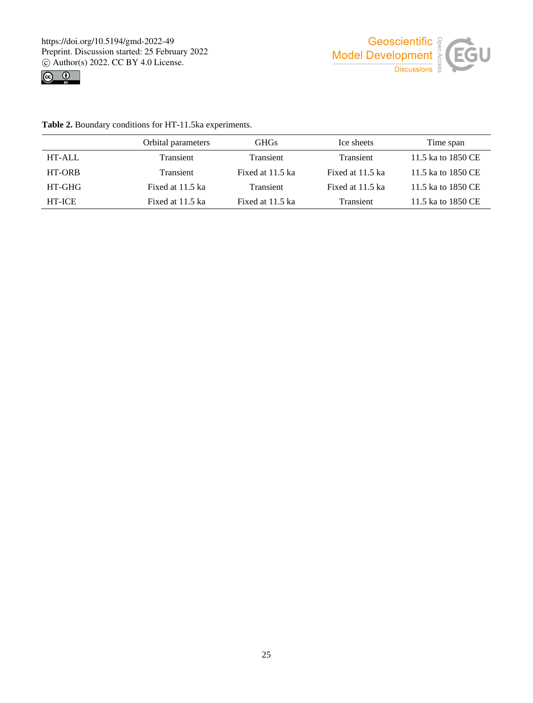



**Table 2.** Boundary conditions for HT-11.5ka experiments.

|               | Orbital parameters | <b>GHGs</b>      | Ice sheets       | Time span          |
|---------------|--------------------|------------------|------------------|--------------------|
| HT-ALL        | Transient          | Transient        | Transient        | 11.5 ka to 1850 CE |
| HT-ORB        | Transient          | Fixed at 11.5 ka | Fixed at 11.5 ka | 11.5 ka to 1850 CE |
| HT-GHG        | Fixed at 11.5 ka   | Transient        | Fixed at 11.5 ka | 11.5 ka to 1850 CE |
| <b>HT-ICE</b> | Fixed at 11.5 ka   | Fixed at 11.5 ka | Transient        | 11.5 ka to 1850 CE |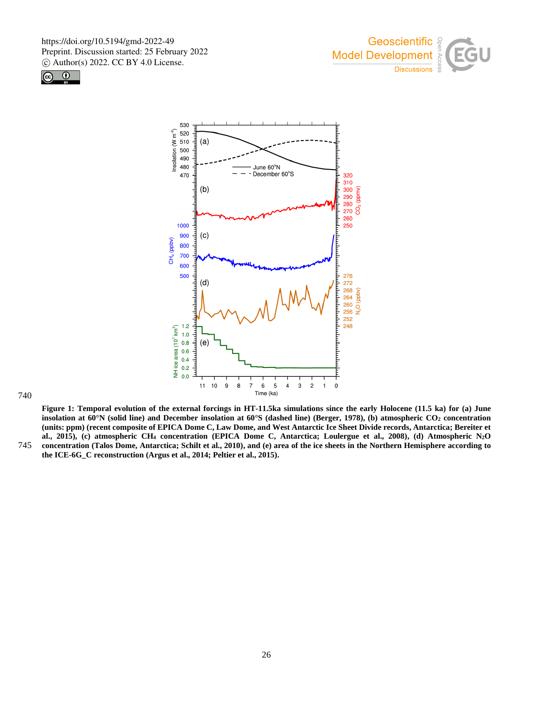





#### 740

**Figure 1: Temporal evolution of the external forcings in HT-11.5ka simulations since the early Holocene (11.5 ka) for (a) June insolation at 60°N (solid line) and December insolation at 60°S (dashed line) (Berger, 1978), (b) atmospheric CO<sup>2</sup> concentration (units: ppm) (recent composite of EPICA Dome C, Law Dome, and West Antarctic Ice Sheet Divide records, Antarctica; Bereiter et al., 2015), (c) atmospheric CH<sup>4</sup> concentration (EPICA Dome C, Antarctica; Loulergue et al., 2008), (d) Atmospheric N2O** 745 **concentration (Talos Dome, Antarctica; Schilt et al., 2010), and (e) area of the ice sheets in the Northern Hemisphere according to the ICE-6G\_C reconstruction (Argus et al., 2014; Peltier et al., 2015).**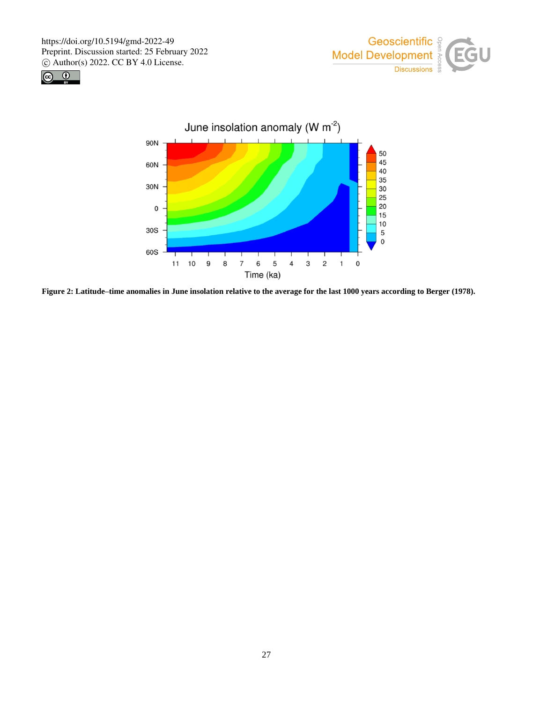





**Figure 2: Latitude–time anomalies in June insolation relative to the average for the last 1000 years according to Berger (1978).**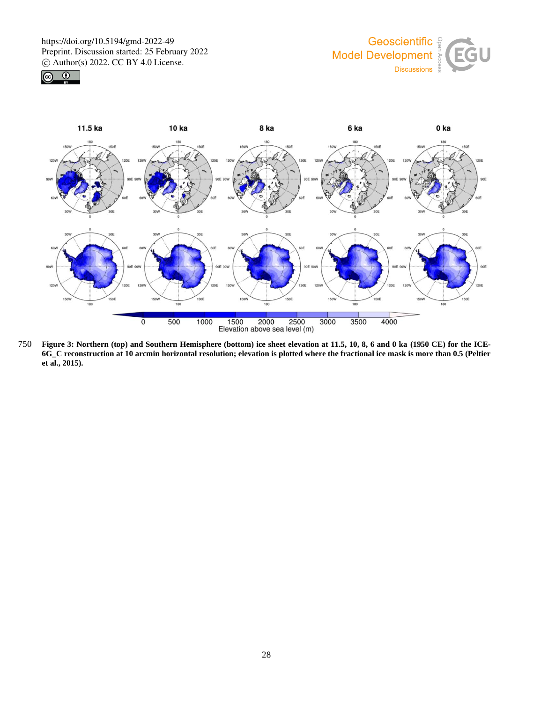





750 **Figure 3: Northern (top) and Southern Hemisphere (bottom) ice sheet elevation at 11.5, 10, 8, 6 and 0 ka (1950 CE) for the ICE-6G\_C reconstruction at 10 arcmin horizontal resolution; elevation is plotted where the fractional ice mask is more than 0.5 (Peltier et al., 2015).**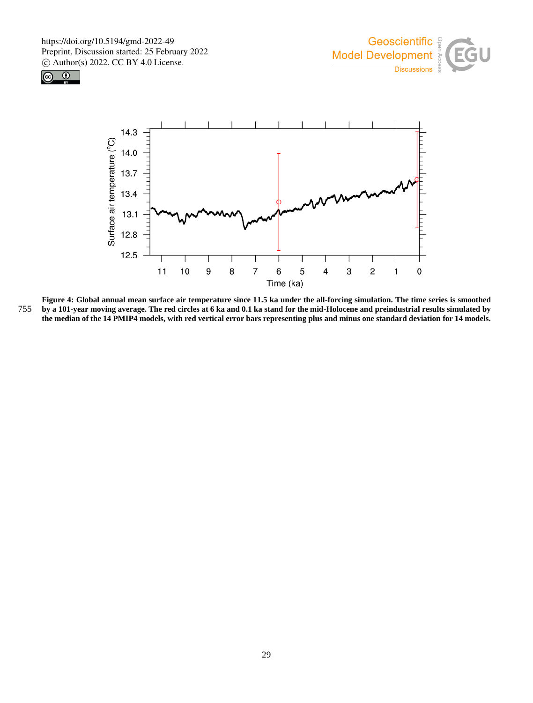





**Figure 4: Global annual mean surface air temperature since 11.5 ka under the all-forcing simulation. The time series is smoothed**  755 **by a 101-year moving average. The red circles at 6 ka and 0.1 ka stand for the mid-Holocene and preindustrial results simulated by the median of the 14 PMIP4 models, with red vertical error bars representing plus and minus one standard deviation for 14 models.**